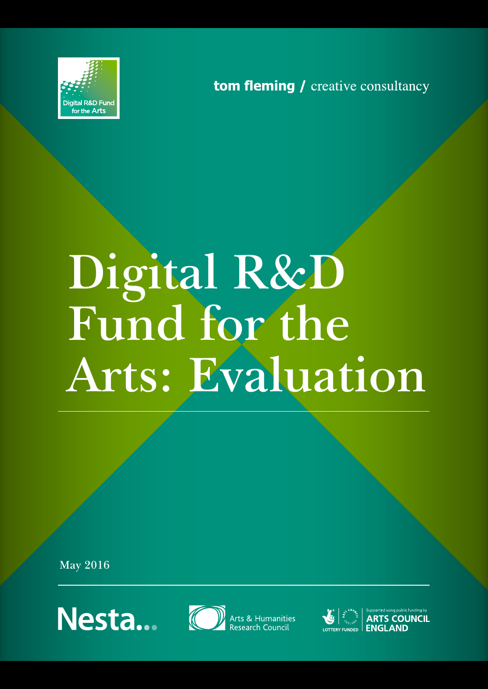

tom fleming / creative consultancy

# **Digital R&D Fund for the Arts: Evaluation**

**May 2016**





Arts & Humanities<br>Research Council



 $\mathbf{R}_{\mathbf{S}}\left\| \begin{array}{c} \mathbf{S}_{\mathbf{S}}\text{ is the same as } \mathbf{S}_{\mathbf{S}}\text{ is the same as } \mathbf{S}_{\mathbf{S}}\text{ is the same as } \mathbf{S}_{\mathbf{S}_{\mathbf{S}}\text{ is the same as } \mathbf{S}_{\mathbf{S}}\text{ is the same as } \mathbf{S}_{\mathbf{S}}\text{ is the same as } \mathbf{S}_{\mathbf{S}}\text{ is the same as } \mathbf{S}_{\mathbf{S}}\text{ is the same as } \mathbf{S}_{\mathbf{S}}\text{ is the same as } \mathbf{S}_{\mathbf{S$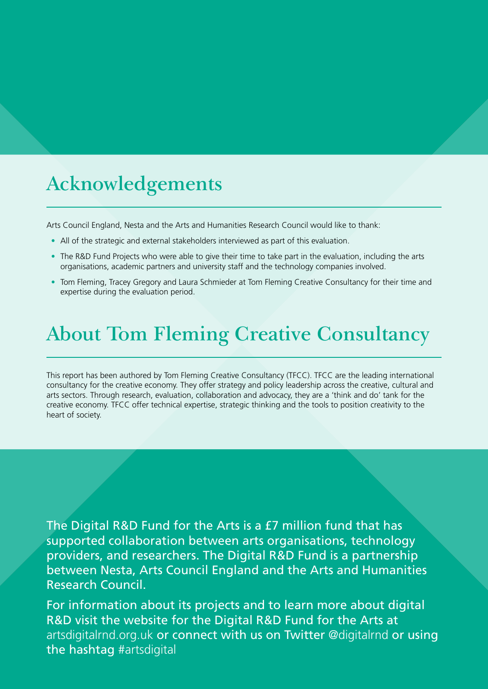# **Acknowledgements**

Arts Council England, Nesta and the Arts and Humanities Research Council would like to thank:

- All of the strategic and external stakeholders interviewed as part of this evaluation.
- The R&D Fund Projects who were able to give their time to take part in the evaluation, including the arts organisations, academic partners and university staff and the technology companies involved.
- Tom Fleming, Tracey Gregory and Laura Schmieder at Tom Fleming Creative Consultancy for their time and expertise during the evaluation period.

# **About Tom Fleming Creative Consultancy**

This report has been authored by Tom Fleming Creative Consultancy (TFCC). TFCC are the leading international consultancy for the creative economy. They offer strategy and policy leadership across the creative, cultural and arts sectors. Through research, evaluation, collaboration and advocacy, they are a 'think and do' tank for the creative economy. TFCC offer technical expertise, strategic thinking and the tools to position creativity to the heart of society.

The Digital R&D Fund for the Arts is a £7 million fund that has supported collaboration between arts organisations, technology providers, and researchers. The Digital R&D Fund is a partnership between Nesta, Arts Council England and the Arts and Humanities Research Council.

For information about its projects and to learn more about digital R&D visit the website for the Digital R&D Fund for the Arts at artsdigitalrnd.org.uk or connect with us on Twitter @digitalrnd or using the hashtag #artsdigital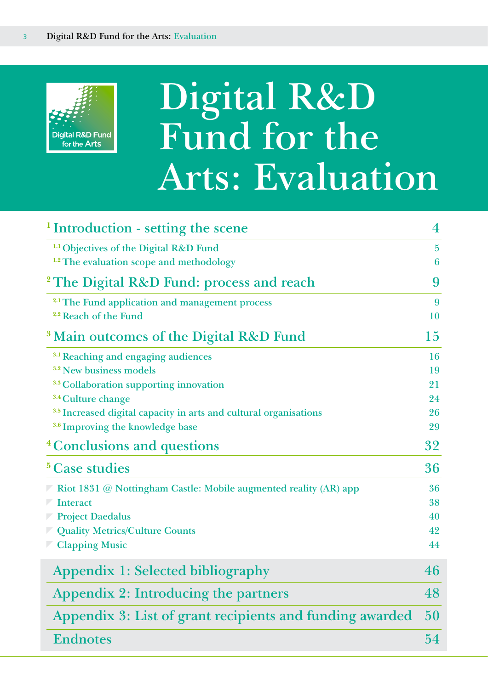

# **Digital R&D Fund for the Arts: Evaluation**

| <sup>1</sup> Introduction - setting the scene                                | $\overline{\mathbf{4}}$ |
|------------------------------------------------------------------------------|-------------------------|
| <sup>1.1</sup> Objectives of the Digital R&D Fund                            | $\overline{5}$          |
| <sup>1.2</sup> The evaluation scope and methodology                          | 6                       |
| <sup>2</sup> The Digital R&D Fund: process and reach                         | 9                       |
| <sup>2.1</sup> The Fund application and management process                   | 9                       |
| <sup>2.2</sup> Reach of the Fund                                             | 10                      |
| <sup>3</sup> Main outcomes of the Digital R&D Fund                           | 15                      |
| <sup>3.1</sup> Reaching and engaging audiences                               | 16                      |
| <sup>3.2</sup> New business models                                           | 19                      |
| <sup>3.3</sup> Collaboration supporting innovation                           | 21                      |
| <sup>3.4</sup> Culture change                                                | 24                      |
| <sup>3.5</sup> Increased digital capacity in arts and cultural organisations | 26                      |
| <sup>3.6</sup> Improving the knowledge base                                  | 29                      |
| <sup>4</sup> Conclusions and questions                                       | 32                      |
| <sup>5</sup> Case studies                                                    | 36                      |
| $\nabla$ Riot 1831 @ Nottingham Castle: Mobile augmented reality (AR) app    | 36                      |
| <b>Interact</b>                                                              | 38                      |
| <b>Project Daedalus</b>                                                      | 40                      |
| <b>Z</b> Quality Metrics/Culture Counts                                      | 42                      |
| <b>Clapping Music</b>                                                        | 44                      |
| Appendix 1: Selected bibliography                                            | 46                      |
| Appendix 2: Introducing the partners                                         | 48                      |
| Appendix 3: List of grant recipients and funding awarded                     | 50                      |
| <b>Endnotes</b>                                                              | 54                      |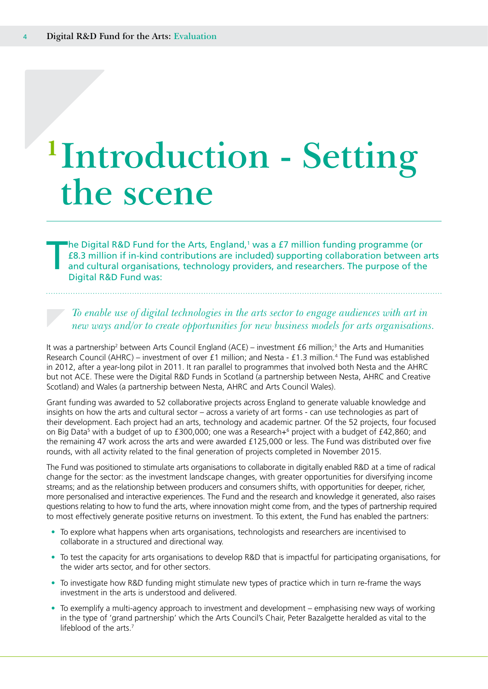# <span id="page-3-0"></span>**<sup>1</sup>Introduction - Setting the scene**

The Digital R&D Fund for the Arts, England,<sup>1</sup> was a £7 million funding programme (or £8.3 million if in-kind contributions are included) supporting collaboration between and cultural organisations, technology providers, a £8.3 million if in-kind contributions are included) supporting collaboration between arts and cultural organisations, technology providers, and researchers. The purpose of the Digital R&D Fund was:

*To enable use of digital technologies in the arts sector to engage audiences with art in new ways and/or to create opportunities for new business models for arts organisations.*

It was a partnership<sup>2</sup> between Arts Council England (ACE) – investment £6 million;<sup>3</sup> the Arts and Humanities Research Council (AHRC) – investment of over £1 million; and Nesta - £1.3 million.4 The Fund was established in 2012, after a year-long pilot in 2011. It ran parallel to programmes that involved both Nesta and the AHRC but not ACE. These were the Digital R&D Funds in Scotland (a partnership between Nesta, AHRC and Creative Scotland) and Wales (a partnership between Nesta, AHRC and Arts Council Wales).

Grant funding was awarded to 52 collaborative projects across England to generate valuable knowledge and insights on how the arts and cultural sector – across a variety of art forms - can use technologies as part of their development. Each project had an arts, technology and academic partner. Of the 52 projects, four focused on Big Data<sup>5</sup> with a budget of up to £300,000; one was a Research+<sup>6</sup> project with a budget of £42,860; and the remaining 47 work across the arts and were awarded £125,000 or less. The Fund was distributed over five rounds, with all activity related to the final generation of projects completed in November 2015.

The Fund was positioned to stimulate arts organisations to collaborate in digitally enabled R&D at a time of radical change for the sector: as the investment landscape changes, with greater opportunities for diversifying income streams; and as the relationship between producers and consumers shifts, with opportunities for deeper, richer, more personalised and interactive experiences. The Fund and the research and knowledge it generated, also raises questions relating to how to fund the arts, where innovation might come from, and the types of partnership required to most effectively generate positive returns on investment. To this extent, the Fund has enabled the partners:

- To explore what happens when arts organisations, technologists and researchers are incentivised to collaborate in a structured and directional way.
- To test the capacity for arts organisations to develop R&D that is impactful for participating organisations, for the wider arts sector, and for other sectors.
- To investigate how R&D funding might stimulate new types of practice which in turn re-frame the ways investment in the arts is understood and delivered.
- To exemplify a multi-agency approach to investment and development emphasising new ways of working in the type of 'grand partnership' which the Arts Council's Chair, Peter Bazalgette heralded as vital to the lifeblood of the arts.<sup>7</sup>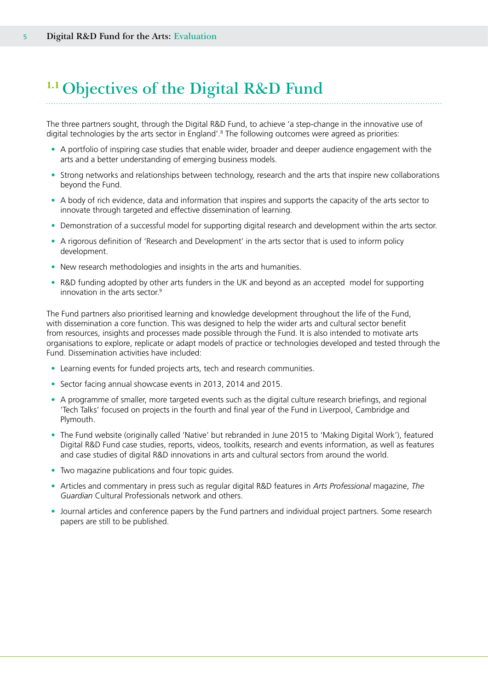# <span id="page-4-0"></span>**1.1 Objectives of the Digital R&D Fund**

The three partners sought, through the Digital R&D Fund, to achieve 'a step-change in the innovative use of digital technologies by the arts sector in England'.<sup>8</sup> The following outcomes were agreed as priorities:

- A portfolio of inspiring case studies that enable wider, broader and deeper audience engagement with the arts and a better understanding of emerging business models.
- Strong networks and relationships between technology, research and the arts that inspire new collaborations beyond the Fund.
- A body of rich evidence, data and information that inspires and supports the capacity of the arts sector to innovate through targeted and effective dissemination of learning.
- Demonstration of a successful model for supporting digital research and development within the arts sector.
- A rigorous definition of 'Research and Development' in the arts sector that is used to inform policy development.
- New research methodologies and insights in the arts and humanities.
- R&D funding adopted by other arts funders in the UK and beyond as an accepted model for supporting innovation in the arts sector.9

The Fund partners also prioritised learning and knowledge development throughout the life of the Fund, with dissemination a core function. This was designed to help the wider arts and cultural sector benefit from resources, insights and processes made possible through the Fund. It is also intended to motivate arts organisations to explore, replicate or adapt models of practice or technologies developed and tested through the Fund. Dissemination activities have included:

- Learning events for funded projects arts, tech and research communities.
- Sector facing annual showcase events in 2013, 2014 and 2015.
- A programme of smaller, more targeted events such as the digital culture research briefings, and regional 'Tech Talks' focused on projects in the fourth and final year of the Fund in Liverpool, Cambridge and Plymouth.
- The Fund website (originally called 'Native' but rebranded in June 2015 to 'Making Digital Work'), featured Digital R&D Fund case studies, reports, videos, toolkits, research and events information, as well as features and case studies of digital R&D innovations in arts and cultural sectors from around the world.
- Two magazine publications and four topic guides.
- Articles and commentary in press such as regular digital R&D features in *Arts Professional* magazine, *The Guardian* Cultural Professionals network and others.
- Journal articles and conference papers by the Fund partners and individual project partners. Some research papers are still to be published.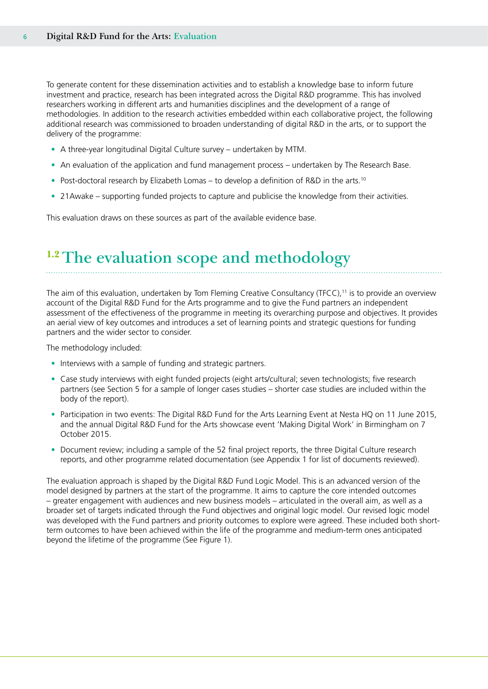<span id="page-5-0"></span>To generate content for these dissemination activities and to establish a knowledge base to inform future investment and practice, research has been integrated across the Digital R&D programme. This has involved researchers working in different arts and humanities disciplines and the development of a range of methodologies. In addition to the research activities embedded within each collaborative project, the following additional research was commissioned to broaden understanding of digital R&D in the arts, or to support the delivery of the programme:

- A three-year longitudinal Digital Culture survey undertaken by MTM.
- An evaluation of the application and fund management process undertaken by The Research Base.
- Post-doctoral research by Elizabeth Lomas to develop a definition of R&D in the arts.<sup>10</sup>
- 21Awake supporting funded projects to capture and publicise the knowledge from their activities.

This evaluation draws on these sources as part of the available evidence base.

### **1.2 The evaluation scope and methodology**

The aim of this evaluation, undertaken by Tom Fleming Creative Consultancy (TFCC),11 is to provide an overview account of the Digital R&D Fund for the Arts programme and to give the Fund partners an independent assessment of the effectiveness of the programme in meeting its overarching purpose and objectives. It provides an aerial view of key outcomes and introduces a set of learning points and strategic questions for funding partners and the wider sector to consider.

The methodology included:

- Interviews with a sample of funding and strategic partners.
- Case study interviews with eight funded projects (eight arts/cultural; seven technologists; five research partners (see Section 5 for a sample of longer cases studies – shorter case studies are included within the body of the report).
- Participation in two events: The Digital R&D Fund for the Arts Learning Event at Nesta HQ on 11 June 2015, and the annual Digital R&D Fund for the Arts showcase event 'Making Digital Work' in Birmingham on 7 October 2015.
- Document review; including a sample of the 52 final project reports, the three Digital Culture research reports, and other programme related documentation (see Appendix 1 for list of documents reviewed).

The evaluation approach is shaped by the Digital R&D Fund Logic Model. This is an advanced version of the model designed by partners at the start of the programme. It aims to capture the core intended outcomes – greater engagement with audiences and new business models – articulated in the overall aim, as well as a broader set of targets indicated through the Fund objectives and original logic model. Our revised logic model was developed with the Fund partners and priority outcomes to explore were agreed. These included both shortterm outcomes to have been achieved within the life of the programme and medium-term ones anticipated beyond the lifetime of the programme (See Figure 1).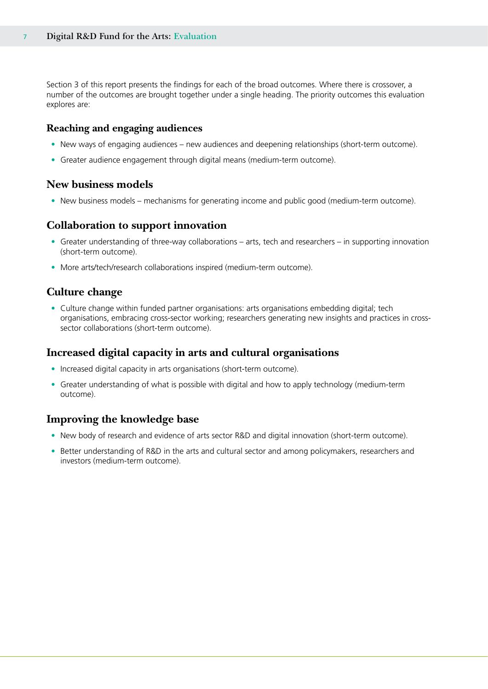Section 3 of this report presents the findings for each of the broad outcomes. Where there is crossover, a number of the outcomes are brought together under a single heading. The priority outcomes this evaluation explores are:

### **Reaching and engaging audiences**

- New ways of engaging audiences new audiences and deepening relationships (short-term outcome).
- Greater audience engagement through digital means (medium-term outcome).

### **New business models**

• New business models – mechanisms for generating income and public good (medium-term outcome).

### **Collaboration to support innovation**

- Greater understanding of three-way collaborations arts, tech and researchers in supporting innovation (short-term outcome).
- More arts/tech/research collaborations inspired (medium-term outcome).

### **Culture change**

• Culture change within funded partner organisations: arts organisations embedding digital; tech organisations, embracing cross-sector working; researchers generating new insights and practices in crosssector collaborations (short-term outcome).

### **Increased digital capacity in arts and cultural organisations**

- Increased digital capacity in arts organisations (short-term outcome).
- Greater understanding of what is possible with digital and how to apply technology (medium-term outcome).

### **Improving the knowledge base**

- New body of research and evidence of arts sector R&D and digital innovation (short-term outcome).
- Better understanding of R&D in the arts and cultural sector and among policymakers, researchers and investors (medium-term outcome).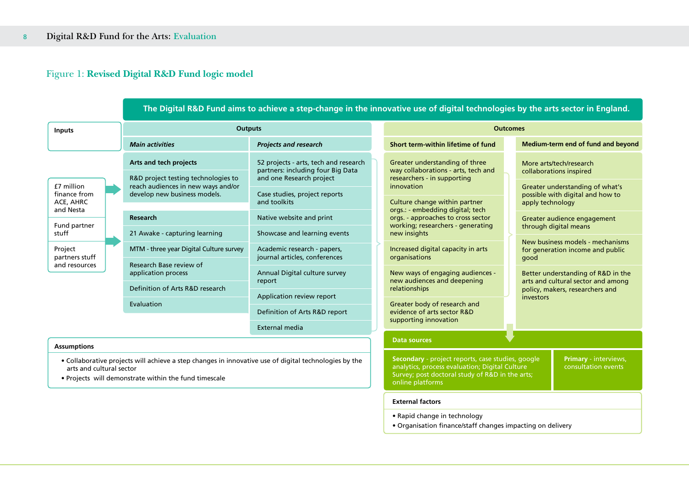### Figure 1: **Revised Digital R&D Fund logic model**

|                                                                                                                                                                                            |  | The Digital R&D Fund aims to achieve a step-change in the innovative use of digital technologies by the arts sector in England. |                                                                                                                     |                                                                                                                                                                            |                                                                                                                             |                                                      |                                              |                                                                          |
|--------------------------------------------------------------------------------------------------------------------------------------------------------------------------------------------|--|---------------------------------------------------------------------------------------------------------------------------------|---------------------------------------------------------------------------------------------------------------------|----------------------------------------------------------------------------------------------------------------------------------------------------------------------------|-----------------------------------------------------------------------------------------------------------------------------|------------------------------------------------------|----------------------------------------------|--------------------------------------------------------------------------|
| <b>Inputs</b>                                                                                                                                                                              |  | <b>Outputs</b>                                                                                                                  |                                                                                                                     |                                                                                                                                                                            | <b>Outcomes</b>                                                                                                             |                                                      |                                              |                                                                          |
|                                                                                                                                                                                            |  | <b>Main activities</b>                                                                                                          | <b>Projects and research</b>                                                                                        |                                                                                                                                                                            | Short term-within lifetime of fund                                                                                          |                                                      |                                              | Medium-term end of fund and beyond                                       |
|                                                                                                                                                                                            |  | Arts and tech projects<br>R&D project testing technologies to                                                                   | 52 projects - arts, tech and research<br>partners: including four Big Data<br>and one Research project              |                                                                                                                                                                            | Greater understanding of three<br>way collaborations - arts, tech and<br>researchers - in supporting                        |                                                      |                                              | More arts/tech/research<br>collaborations inspired                       |
| £7 million<br>finance from<br>ACE, AHRC                                                                                                                                                    |  | reach audiences in new ways and/or<br>develop new business models.                                                              | Case studies, project reports<br>and toolkits                                                                       |                                                                                                                                                                            | innovation<br>Culture change within partner                                                                                 |                                                      | apply technology                             | Greater understanding of what's<br>possible with digital and how to      |
| and Nesta                                                                                                                                                                                  |  | Research                                                                                                                        | Native website and print                                                                                            |                                                                                                                                                                            | orgs.: - embedding digital; tech<br>orgs. - approaches to cross sector<br>working; researchers - generating<br>new insights | Greater audience engagement<br>through digital means |                                              |                                                                          |
| Fund partner<br>stuff                                                                                                                                                                      |  | 21 Awake - capturing learning                                                                                                   | Showcase and learning events                                                                                        |                                                                                                                                                                            |                                                                                                                             |                                                      |                                              |                                                                          |
| Project<br>partners stuff                                                                                                                                                                  |  | MTM - three year Digital Culture survey                                                                                         | Academic research - papers,<br>Increased digital capacity in arts<br>journal articles, conferences<br>organisations |                                                                                                                                                                            | New business models - mechanisms<br>for generation income and public<br>good                                                |                                                      |                                              |                                                                          |
| and resources                                                                                                                                                                              |  | Research Base review of<br>application process<br>Annual Digital culture survey<br>report                                       |                                                                                                                     |                                                                                                                                                                            | New ways of engaging audiences -<br>new audiences and deepening                                                             |                                                      |                                              | Better understanding of R&D in the<br>arts and cultural sector and among |
|                                                                                                                                                                                            |  | Definition of Arts R&D research                                                                                                 | Application review report                                                                                           | relationships                                                                                                                                                              |                                                                                                                             | policy, makers, researchers and<br>investors         |                                              |                                                                          |
|                                                                                                                                                                                            |  | Evaluation                                                                                                                      | Definition of Arts R&D report                                                                                       |                                                                                                                                                                            | Greater body of research and<br>evidence of arts sector R&D                                                                 |                                                      |                                              |                                                                          |
|                                                                                                                                                                                            |  |                                                                                                                                 | External media                                                                                                      |                                                                                                                                                                            | supporting innovation                                                                                                       |                                                      |                                              |                                                                          |
| <b>Assumptions</b>                                                                                                                                                                         |  |                                                                                                                                 | <b>Data sources</b>                                                                                                 |                                                                                                                                                                            |                                                                                                                             |                                                      |                                              |                                                                          |
| • Collaborative projects will achieve a step changes in innovative use of digital technologies by the<br>arts and cultural sector<br>. Projects will demonstrate within the fund timescale |  |                                                                                                                                 |                                                                                                                     | Secondary - project reports, case studies, google<br>analytics, process evaluation; Digital Culture<br>Survey; post doctoral study of R&D in the arts;<br>online platforms |                                                                                                                             |                                                      | Primary - interviews,<br>consultation events |                                                                          |
|                                                                                                                                                                                            |  |                                                                                                                                 |                                                                                                                     | <b>External factors</b>                                                                                                                                                    |                                                                                                                             |                                                      |                                              |                                                                          |

- Rapid change in technology
- Organisation finance/staff changes impacting on delivery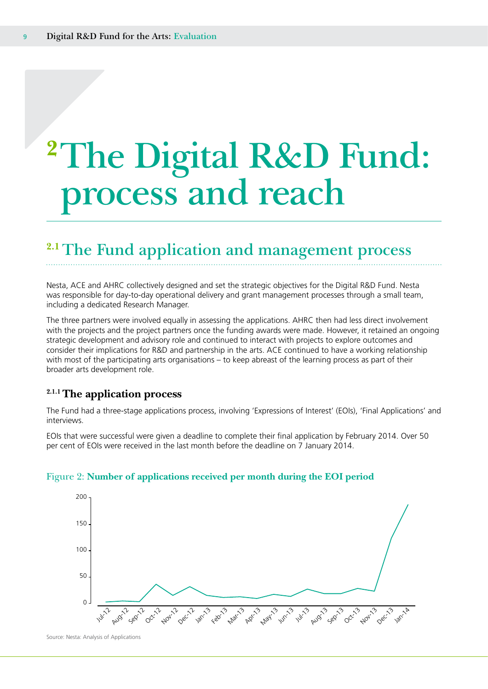# <span id="page-8-0"></span>**<sup>2</sup>The Digital R&D Fund: process and reach**

### **2.1 The Fund application and management process**

Nesta, ACE and AHRC collectively designed and set the strategic objectives for the Digital R&D Fund. Nesta was responsible for day-to-day operational delivery and grant management processes through a small team, including a dedicated Research Manager.

The three partners were involved equally in assessing the applications. AHRC then had less direct involvement with the projects and the project partners once the funding awards were made. However, it retained an ongoing strategic development and advisory role and continued to interact with projects to explore outcomes and consider their implications for R&D and partnership in the arts. ACE continued to have a working relationship with most of the participating arts organisations – to keep abreast of the learning process as part of their broader arts development role.

### **2.1.1 The application process**

The Fund had a three-stage applications process, involving 'Expressions of Interest' (EOIs), 'Final Applications' and interviews.

EOIs that were successful were given a deadline to complete their final application by February 2014. Over 50 per cent of EOIs were received in the last month before the deadline on 7 January 2014.



### Figure 2: **Number of applications received per month during the EOI period**

Source: Nesta: Analysis of Applications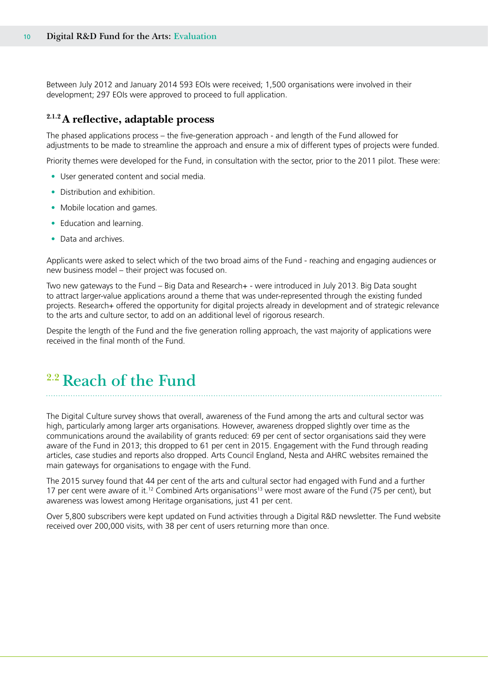<span id="page-9-0"></span>Between July 2012 and January 2014 593 EOIs were received; 1,500 organisations were involved in their development; 297 EOIs were approved to proceed to full application.

### **2.1.2 A reflective, adaptable process**

The phased applications process – the five-generation approach - and length of the Fund allowed for adjustments to be made to streamline the approach and ensure a mix of different types of projects were funded.

Priority themes were developed for the Fund, in consultation with the sector, prior to the 2011 pilot. These were:

- User generated content and social media.
- Distribution and exhibition.
- Mobile location and games.
- Education and learning.
- Data and archives.

Applicants were asked to select which of the two broad aims of the Fund - reaching and engaging audiences or new business model – their project was focused on.

Two new gateways to the Fund – Big Data and Research+ - were introduced in July 2013. Big Data sought to attract larger-value applications around a theme that was under-represented through the existing funded projects. Research+ offered the opportunity for digital projects already in development and of strategic relevance to the arts and culture sector, to add on an additional level of rigorous research.

Despite the length of the Fund and the five generation rolling approach, the vast majority of applications were received in the final month of the Fund.

### **2.2 Reach of the Fund**

The Digital Culture survey shows that overall, awareness of the Fund among the arts and cultural sector was high, particularly among larger arts organisations. However, awareness dropped slightly over time as the communications around the availability of grants reduced: 69 per cent of sector organisations said they were aware of the Fund in 2013; this dropped to 61 per cent in 2015. Engagement with the Fund through reading articles, case studies and reports also dropped. Arts Council England, Nesta and AHRC websites remained the main gateways for organisations to engage with the Fund.

The 2015 survey found that 44 per cent of the arts and cultural sector had engaged with Fund and a further 17 per cent were aware of it.<sup>12</sup> Combined Arts organisations<sup>13</sup> were most aware of the Fund (75 per cent), but awareness was lowest among Heritage organisations, just 41 per cent.

Over 5,800 subscribers were kept updated on Fund activities through a Digital R&D newsletter. The Fund website received over 200,000 visits, with 38 per cent of users returning more than once.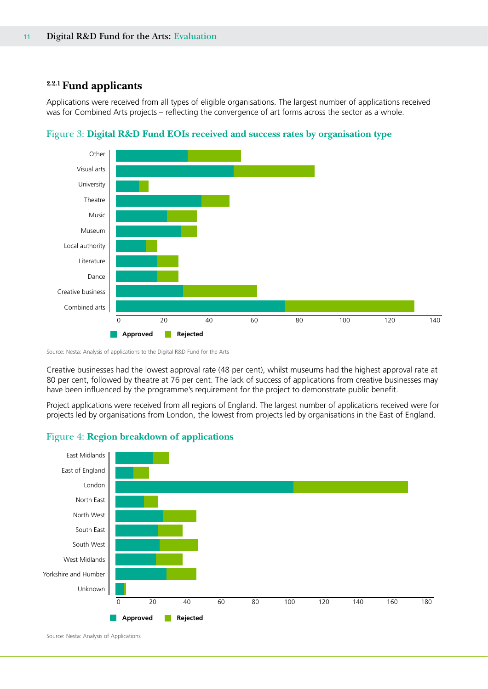### **2.2.1 Fund applicants**

Applications were received from all types of eligible organisations. The largest number of applications received was for Combined Arts projects – reflecting the convergence of art forms across the sector as a whole.





Source: Nesta: Analysis of applications to the Digital R&D Fund for the Arts

Creative businesses had the lowest approval rate (48 per cent), whilst museums had the highest approval rate at 80 per cent, followed by theatre at 76 per cent. The lack of success of applications from creative businesses may have been influenced by the programme's requirement for the project to demonstrate public benefit.

Project applications were received from all regions of England. The largest number of applications received were for projects led by organisations from London, the lowest from projects led by organisations in the East of England.



### Figure 4: **Region breakdown of applications**

Source: Nesta: Analysis of Applications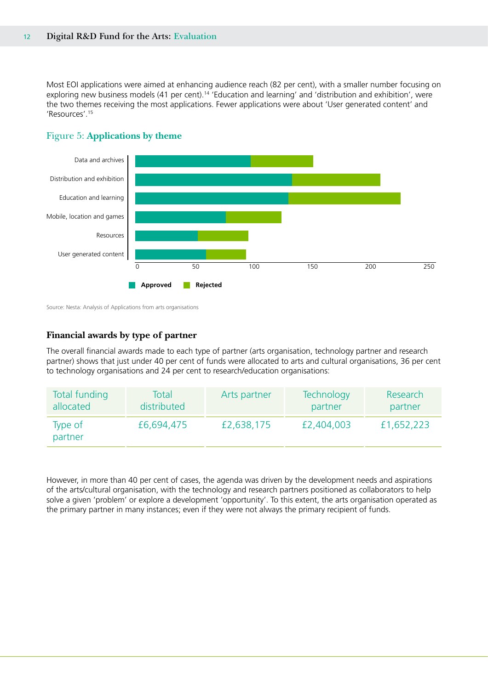Most EOI applications were aimed at enhancing audience reach (82 per cent), with a smaller number focusing on exploring new business models (41 per cent).<sup>14</sup> 'Education and learning' and 'distribution and exhibition', were the two themes receiving the most applications. Fewer applications were about 'User generated content' and 'Resources'.15



### Figure 5: **Applications by theme**

Source: Nesta: Analysis of Applications from arts organisations

### **Financial awards by type of partner**

The overall financial awards made to each type of partner (arts organisation, technology partner and research partner) shows that just under 40 per cent of funds were allocated to arts and cultural organisations, 36 per cent to technology organisations and 24 per cent to research/education organisations:

| <b>Total funding</b> | Total       | Arts partner | <b>Technology</b> | Research   |
|----------------------|-------------|--------------|-------------------|------------|
| allocated            | distributed |              | partner           | partner    |
| Type of<br>partner   | £6,694,475  | £2,638,175   | £2,404,003        | £1,652,223 |

However, in more than 40 per cent of cases, the agenda was driven by the development needs and aspirations of the arts/cultural organisation, with the technology and research partners positioned as collaborators to help solve a given 'problem' or explore a development 'opportunity'. To this extent, the arts organisation operated as the primary partner in many instances; even if they were not always the primary recipient of funds.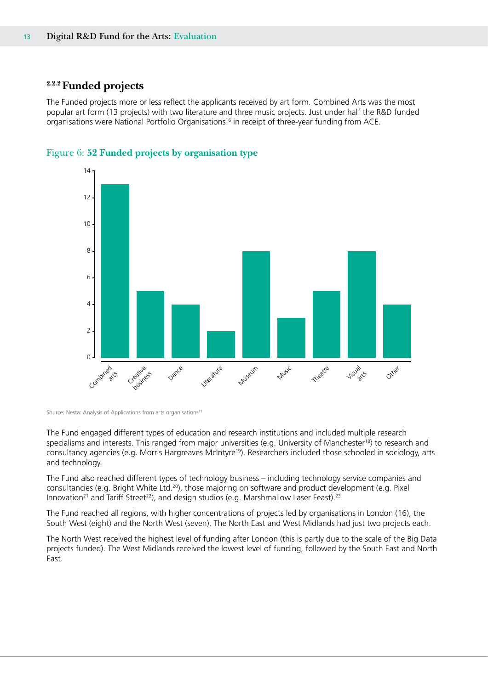### **2.2.2 Funded projects**

The Funded projects more or less reflect the applicants received by art form. Combined Arts was the most popular art form (13 projects) with two literature and three music projects. Just under half the R&D funded organisations were National Portfolio Organisations16 in receipt of three-year funding from ACE.





The Fund engaged different types of education and research institutions and included multiple research specialisms and interests. This ranged from major universities (e.g. University of Manchester<sup>18</sup>) to research and consultancy agencies (e.g. Morris Hargreaves McIntyre19). Researchers included those schooled in sociology, arts and technology.

The Fund also reached different types of technology business – including technology service companies and consultancies (e.g. Bright White Ltd.20), those majoring on software and product development (e.g. Pixel Innovation<sup>21</sup> and Tariff Street<sup>22</sup>), and design studios (e.g. Marshmallow Laser Feast).<sup>23</sup>

The Fund reached all regions, with higher concentrations of projects led by organisations in London (16), the South West (eight) and the North West (seven). The North East and West Midlands had just two projects each.

The North West received the highest level of funding after London (this is partly due to the scale of the Big Data projects funded). The West Midlands received the lowest level of funding, followed by the South East and North East.

Source: Nesta: Analysis of Applications from arts organisations<sup>17</sup>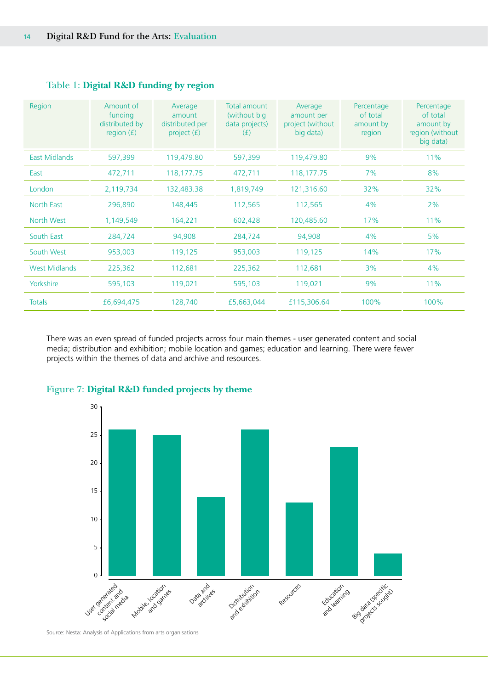| Region               | Amount of<br>funding<br>distributed by<br>region $(f)$ | Average<br>amount<br>distributed per<br>project $(f)$ | Total amount<br>(without big<br>data projects)<br>(E) | Average<br>amount per<br>project (without<br>big data) | Percentage<br>of total<br>amount by<br>region | Percentage<br>of total<br>amount by<br>region (without<br>big data) |
|----------------------|--------------------------------------------------------|-------------------------------------------------------|-------------------------------------------------------|--------------------------------------------------------|-----------------------------------------------|---------------------------------------------------------------------|
| <b>East Midlands</b> | 597,399                                                | 119,479.80                                            | 597,399                                               | 119,479.80                                             | 9%                                            | 11%                                                                 |
| East                 | 472,711                                                | 118,177.75                                            | 472,711                                               | 118,177.75                                             | 7%                                            | 8%                                                                  |
| London               | 2,119,734                                              | 132,483.38                                            | 1,819,749                                             | 121,316.60                                             | 32%                                           | 32%                                                                 |
| North East           | 296,890                                                | 148,445                                               | 112,565                                               | 112,565                                                | 4%                                            | 2%                                                                  |
| North West           | 1,149,549                                              | 164,221                                               | 602,428                                               | 120,485.60                                             | 17%                                           | 11%                                                                 |
| South East           | 284,724                                                | 94,908                                                | 284,724                                               | 94,908                                                 | 4%                                            | 5%                                                                  |
| South West           | 953,003                                                | 119,125                                               | 953,003                                               | 119,125                                                | 14%                                           | 17%                                                                 |
| <b>West Midlands</b> | 225,362                                                | 112,681                                               | 225,362                                               | 112,681                                                | 3%                                            | 4%                                                                  |
| Yorkshire            | 595,103                                                | 119,021                                               | 595,103                                               | 119,021                                                | 9%                                            | 11%                                                                 |
| <b>Totals</b>        | £6,694,475                                             | 128,740                                               | £5,663,044                                            | £115,306.64                                            | 100%                                          | 100%                                                                |

### Table 1: **Digital R&D funding by region**

There was an even spread of funded projects across four main themes - user generated content and social media; distribution and exhibition; mobile location and games; education and learning. There were fewer projects within the themes of data and archive and resources.



### Figure 7: **Digital R&D funded projects by theme**

Source: Nesta: Analysis of Applications from arts organisations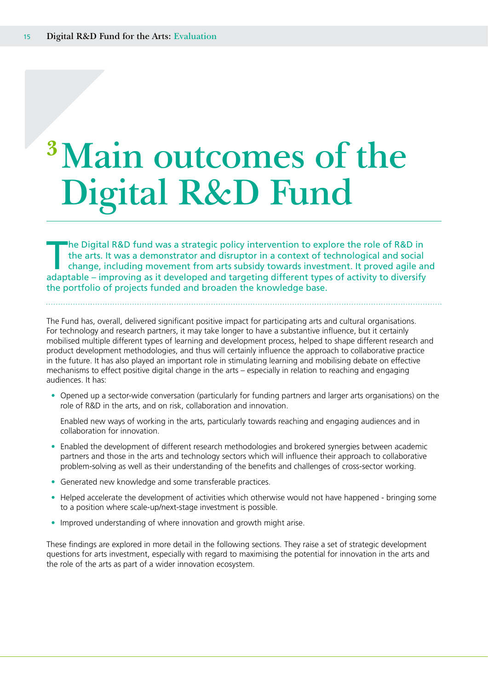# <span id="page-14-0"></span>**<sup>3</sup>Main outcomes of the Digital R&D Fund**

The Digital R&D fund was a strategic policy intervention to explore the role of R&D in<br>the arts. It was a demonstrator and disruptor in a context of technological and social<br>change, including movement from arts subsidy tow the arts. It was a demonstrator and disruptor in a context of technological and social change, including movement from arts subsidy towards investment. It proved agile and adaptable – improving as it developed and targeting different types of activity to diversify the portfolio of projects funded and broaden the knowledge base.

The Fund has, overall, delivered significant positive impact for participating arts and cultural organisations. For technology and research partners, it may take longer to have a substantive influence, but it certainly mobilised multiple different types of learning and development process, helped to shape different research and product development methodologies, and thus will certainly influence the approach to collaborative practice in the future. It has also played an important role in stimulating learning and mobilising debate on effective mechanisms to effect positive digital change in the arts – especially in relation to reaching and engaging audiences. It has:

• Opened up a sector-wide conversation (particularly for funding partners and larger arts organisations) on the role of R&D in the arts, and on risk, collaboration and innovation.

Enabled new ways of working in the arts, particularly towards reaching and engaging audiences and in collaboration for innovation.

- Enabled the development of different research methodologies and brokered synergies between academic partners and those in the arts and technology sectors which will influence their approach to collaborative problem-solving as well as their understanding of the benefits and challenges of cross-sector working.
- Generated new knowledge and some transferable practices.
- Helped accelerate the development of activities which otherwise would not have happened bringing some to a position where scale-up/next-stage investment is possible.
- Improved understanding of where innovation and growth might arise.

These findings are explored in more detail in the following sections. They raise a set of strategic development questions for arts investment, especially with regard to maximising the potential for innovation in the arts and the role of the arts as part of a wider innovation ecosystem.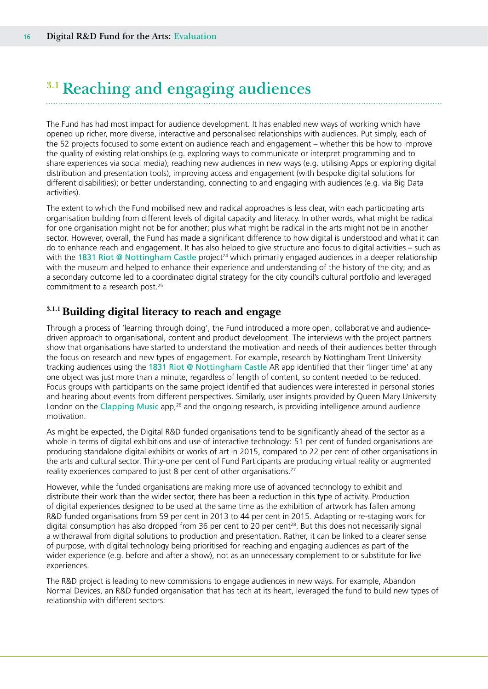## <span id="page-15-0"></span>**3.1 Reaching and engaging audiences**

The Fund has had most impact for audience development. It has enabled new ways of working which have opened up richer, more diverse, interactive and personalised relationships with audiences. Put simply, each of the 52 projects focused to some extent on audience reach and engagement – whether this be how to improve the quality of existing relationships (e.g. exploring ways to communicate or interpret programming and to share experiences via social media); reaching new audiences in new ways (e.g. utilising Apps or exploring digital distribution and presentation tools); improving access and engagement (with bespoke digital solutions for different disabilities); or better understanding, connecting to and engaging with audiences (e.g. via Big Data activities).

The extent to which the Fund mobilised new and radical approaches is less clear, with each participating arts organisation building from different levels of digital capacity and literacy. In other words, what might be radical for one organisation might not be for another; plus what might be radical in the arts might not be in another sector. However, overall, the Fund has made a significant difference to how digital is understood and what it can do to enhance reach and engagement. It has also helped to give structure and focus to digital activities – such as with the 1831 Riot @ Nottingham Castle project<sup>24</sup> which primarily engaged audiences in a deeper relationship with the museum and helped to enhance their experience and understanding of the history of the city; and as a secondary outcome led to a coordinated digital strategy for the city council's cultural portfolio and leveraged commitment to a research post.<sup>25</sup>

### **3.1.1 Building digital literacy to reach and engage**

Through a process of 'learning through doing', the Fund introduced a more open, collaborative and audiencedriven approach to organisational, content and product development. The interviews with the project partners show that organisations have started to understand the motivation and needs of their audiences better through the focus on research and new types of engagement. For example, research by Nottingham Trent University tracking audiences using the 1831 Riot @ Nottingham Castle AR app identified that their 'linger time' at any one object was just more than a minute, regardless of length of content, so content needed to be reduced. Focus groups with participants on the same project identified that audiences were interested in personal stories and hearing about events from different perspectives. Similarly, user insights provided by Queen Mary University London on the Clapping Music app,<sup>26</sup> and the ongoing research, is providing intelligence around audience motivation.

As might be expected, the Digital R&D funded organisations tend to be significantly ahead of the sector as a whole in terms of digital exhibitions and use of interactive technology: 51 per cent of funded organisations are producing standalone digital exhibits or works of art in 2015, compared to 22 per cent of other organisations in the arts and cultural sector. Thirty-one per cent of Fund Participants are producing virtual reality or augmented reality experiences compared to just 8 per cent of other organisations.<sup>27</sup>

However, while the funded organisations are making more use of advanced technology to exhibit and distribute their work than the wider sector, there has been a reduction in this type of activity. Production of digital experiences designed to be used at the same time as the exhibition of artwork has fallen among R&D funded organisations from 59 per cent in 2013 to 44 per cent in 2015. Adapting or re-staging work for digital consumption has also dropped from 36 per cent to 20 per cent<sup>28</sup>. But this does not necessarily signal a withdrawal from digital solutions to production and presentation. Rather, it can be linked to a clearer sense of purpose, with digital technology being prioritised for reaching and engaging audiences as part of the wider experience (e.g. before and after a show), not as an unnecessary complement to or substitute for live experiences.

The R&D project is leading to new commissions to engage audiences in new ways. For example, Abandon Normal Devices, an R&D funded organisation that has tech at its heart, leveraged the fund to build new types of relationship with different sectors: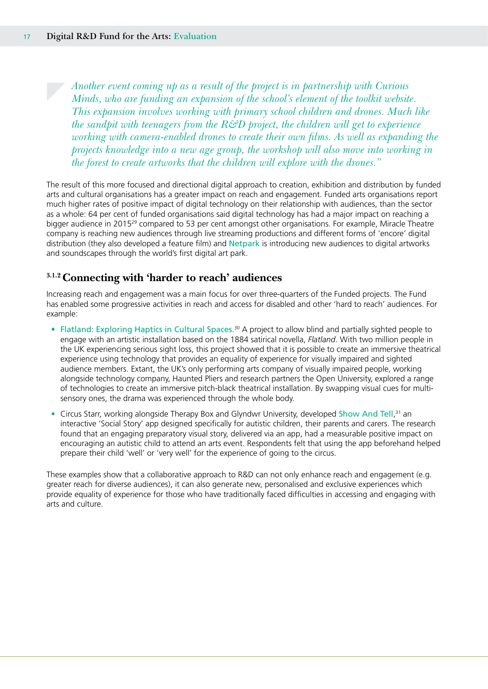*Another event coming up as a result of the project is in partnership with Curious Minds, who are funding an expansion of the school's element of the toolkit website. This expansion involves working with primary school children and drones. Much like the sandpit with teenagers from the R&D project, the children will get to experience working with camera-enabled drones to create their own films. As well as expanding the projects knowledge into a new age group, the workshop will also move into working in the forest to create artworks that the children will explore with the drones."*

The result of this more focused and directional digital approach to creation, exhibition and distribution by funded arts and cultural organisations has a greater impact on reach and engagement. Funded arts organisations report much higher rates of positive impact of digital technology on their relationship with audiences, than the sector as a whole: 64 per cent of funded organisations said digital technology has had a major impact on reaching a bigger audience in 201529 compared to 53 per cent amongst other organisations. For example, Miracle Theatre company is reaching new audiences through live streaming productions and different forms of 'encore' digital distribution (they also developed a feature film) and Netpark is introducing new audiences to digital artworks and soundscapes through the world's first digital art park.

### **3.1.2 Connecting with 'harder to reach' audiences**

Increasing reach and engagement was a main focus for over three-quarters of the Funded projects. The Fund has enabled some progressive activities in reach and access for disabled and other 'hard to reach' audiences. For example:

- Flatland: Exploring Haptics in Cultural Spaces.<sup>30</sup> A project to allow blind and partially sighted people to engage with an artistic installation based on the 1884 satirical novella, *Flatland*. With two million people in the UK experiencing serious sight loss, this project showed that it is possible to create an immersive theatrical experience using technology that provides an equality of experience for visually impaired and sighted audience members. Extant, the UK's only performing arts company of visually impaired people, working alongside technology company, Haunted Pliers and research partners the Open University, explored a range of technologies to create an immersive pitch-black theatrical installation. By swapping visual cues for multisensory ones, the drama was experienced through the whole body.
- Circus Starr, working alongside Therapy Box and Glyndwr University, developed Show And Tell,<sup>31</sup> an interactive 'Social Story' app designed specifically for autistic children, their parents and carers. The research found that an engaging preparatory visual story, delivered via an app, had a measurable positive impact on encouraging an autistic child to attend an arts event. Respondents felt that using the app beforehand helped prepare their child 'well' or 'very well' for the experience of going to the circus.

These examples show that a collaborative approach to R&D can not only enhance reach and engagement (e.g. greater reach for diverse audiences), it can also generate new, personalised and exclusive experiences which provide equality of experience for those who have traditionally faced difficulties in accessing and engaging with arts and culture.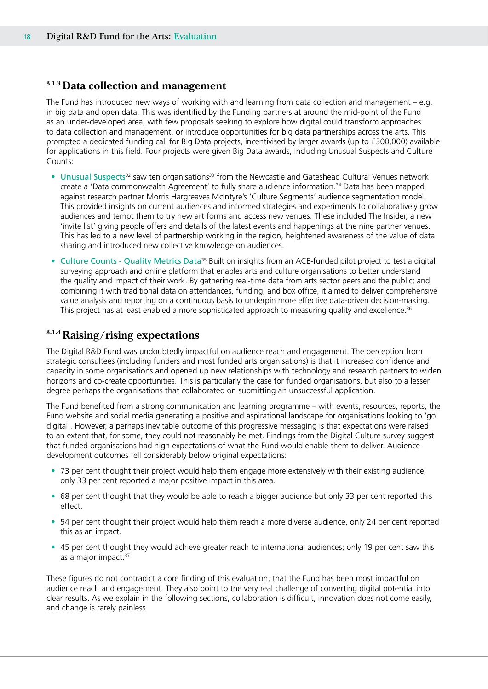### **3.1.3 Data collection and management**

The Fund has introduced new ways of working with and learning from data collection and management – e.g. in big data and open data. This was identified by the Funding partners at around the mid-point of the Fund as an under-developed area, with few proposals seeking to explore how digital could transform approaches to data collection and management, or introduce opportunities for big data partnerships across the arts. This prompted a dedicated funding call for Big Data projects, incentivised by larger awards (up to £300,000) available for applications in this field. Four projects were given Big Data awards, including Unusual Suspects and Culture Counts:

- Unusual Suspects<sup>32</sup> saw ten organisations<sup>33</sup> from the Newcastle and Gateshead Cultural Venues network create a 'Data commonwealth Agreement' to fully share audience information.<sup>34</sup> Data has been mapped against research partner Morris Hargreaves McIntyre's 'Culture Segments' audience segmentation model. This provided insights on current audiences and informed strategies and experiments to collaboratively grow audiences and tempt them to try new art forms and access new venues. These included The Insider, a new 'invite list' giving people offers and details of the latest events and happenings at the nine partner venues. This has led to a new level of partnership working in the region, heightened awareness of the value of data sharing and introduced new collective knowledge on audiences.
- Culture Counts Quality Metrics Data<sup>35</sup> Built on insights from an ACE-funded pilot project to test a digital surveying approach and online platform that enables arts and culture organisations to better understand the quality and impact of their work. By gathering real-time data from arts sector peers and the public; and combining it with traditional data on attendances, funding, and box office, it aimed to deliver comprehensive value analysis and reporting on a continuous basis to underpin more effective data-driven decision-making. This project has at least enabled a more sophisticated approach to measuring quality and excellence.<sup>36</sup>

### **3.1.4 Raising/rising expectations**

The Digital R&D Fund was undoubtedly impactful on audience reach and engagement. The perception from strategic consultees (including funders and most funded arts organisations) is that it increased confidence and capacity in some organisations and opened up new relationships with technology and research partners to widen horizons and co-create opportunities. This is particularly the case for funded organisations, but also to a lesser degree perhaps the organisations that collaborated on submitting an unsuccessful application.

The Fund benefited from a strong communication and learning programme – with events, resources, reports, the Fund website and social media generating a positive and aspirational landscape for organisations looking to 'go digital'. However, a perhaps inevitable outcome of this progressive messaging is that expectations were raised to an extent that, for some, they could not reasonably be met. Findings from the Digital Culture survey suggest that funded organisations had high expectations of what the Fund would enable them to deliver. Audience development outcomes fell considerably below original expectations:

- 73 per cent thought their project would help them engage more extensively with their existing audience; only 33 per cent reported a major positive impact in this area.
- 68 per cent thought that they would be able to reach a bigger audience but only 33 per cent reported this effect.
- 54 per cent thought their project would help them reach a more diverse audience, only 24 per cent reported this as an impact.
- 45 per cent thought they would achieve greater reach to international audiences; only 19 per cent saw this as a major impact.<sup>37</sup>

These figures do not contradict a core finding of this evaluation, that the Fund has been most impactful on audience reach and engagement. They also point to the very real challenge of converting digital potential into clear results. As we explain in the following sections, collaboration is difficult, innovation does not come easily, and change is rarely painless.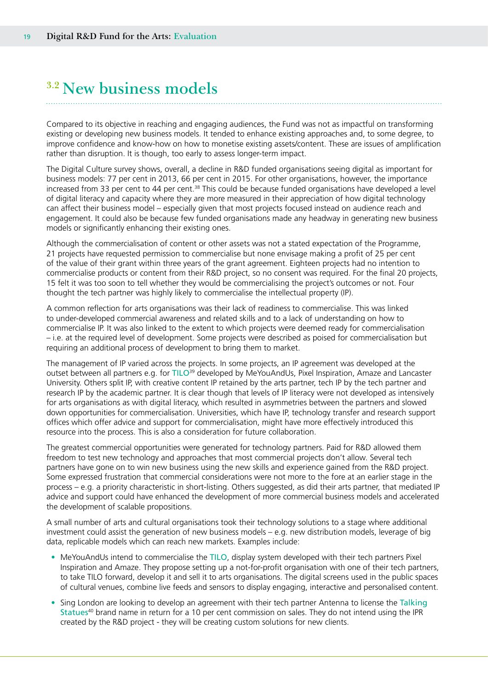### <span id="page-18-0"></span>**3.2 New business models**

Compared to its objective in reaching and engaging audiences, the Fund was not as impactful on transforming existing or developing new business models. It tended to enhance existing approaches and, to some degree, to improve confidence and know-how on how to monetise existing assets/content. These are issues of amplification rather than disruption. It is though, too early to assess longer-term impact.

The Digital Culture survey shows, overall, a decline in R&D funded organisations seeing digital as important for business models: 77 per cent in 2013, 66 per cent in 2015. For other organisations, however, the importance increased from 33 per cent to 44 per cent.<sup>38</sup> This could be because funded organisations have developed a level of digital literacy and capacity where they are more measured in their appreciation of how digital technology can affect their business model – especially given that most projects focused instead on audience reach and engagement. It could also be because few funded organisations made any headway in generating new business models or significantly enhancing their existing ones.

Although the commercialisation of content or other assets was not a stated expectation of the Programme, 21 projects have requested permission to commercialise but none envisage making a profit of 25 per cent of the value of their grant within three years of the grant agreement. Eighteen projects had no intention to commercialise products or content from their R&D project, so no consent was required. For the final 20 projects, 15 felt it was too soon to tell whether they would be commercialising the project's outcomes or not. Four thought the tech partner was highly likely to commercialise the intellectual property (IP).

A common reflection for arts organisations was their lack of readiness to commercialise. This was linked to under-developed commercial awareness and related skills and to a lack of understanding on how to commercialise IP. It was also linked to the extent to which projects were deemed ready for commercialisation – i.e. at the required level of development. Some projects were described as poised for commercialisation but requiring an additional process of development to bring them to market.

The management of IP varied across the projects. In some projects, an IP agreement was developed at the outset between all partners e.g. for TILO<sup>39</sup> developed by MeYouAndUs, Pixel Inspiration, Amaze and Lancaster University. Others split IP, with creative content IP retained by the arts partner, tech IP by the tech partner and research IP by the academic partner. It is clear though that levels of IP literacy were not developed as intensively for arts organisations as with digital literacy, which resulted in asymmetries between the partners and slowed down opportunities for commercialisation. Universities, which have IP, technology transfer and research support offices which offer advice and support for commercialisation, might have more effectively introduced this resource into the process. This is also a consideration for future collaboration.

The greatest commercial opportunities were generated for technology partners. Paid for R&D allowed them freedom to test new technology and approaches that most commercial projects don't allow. Several tech partners have gone on to win new business using the new skills and experience gained from the R&D project. Some expressed frustration that commercial considerations were not more to the fore at an earlier stage in the process – e.g. a priority characteristic in short-listing. Others suggested, as did their arts partner, that mediated IP advice and support could have enhanced the development of more commercial business models and accelerated the development of scalable propositions.

A small number of arts and cultural organisations took their technology solutions to a stage where additional investment could assist the generation of new business models – e.g. new distribution models, leverage of big data, replicable models which can reach new markets. Examples include:

- MeYouAndUs intend to commercialise the TILO, display system developed with their tech partners Pixel Inspiration and Amaze. They propose setting up a not-for-profit organisation with one of their tech partners, to take TILO forward, develop it and sell it to arts organisations. The digital screens used in the public spaces of cultural venues, combine live feeds and sensors to display engaging, interactive and personalised content.
- Sing London are looking to develop an agreement with their tech partner Antenna to license the Talking Statues<sup>40</sup> brand name in return for a 10 per cent commission on sales. They do not intend using the IPR created by the R&D project - they will be creating custom solutions for new clients.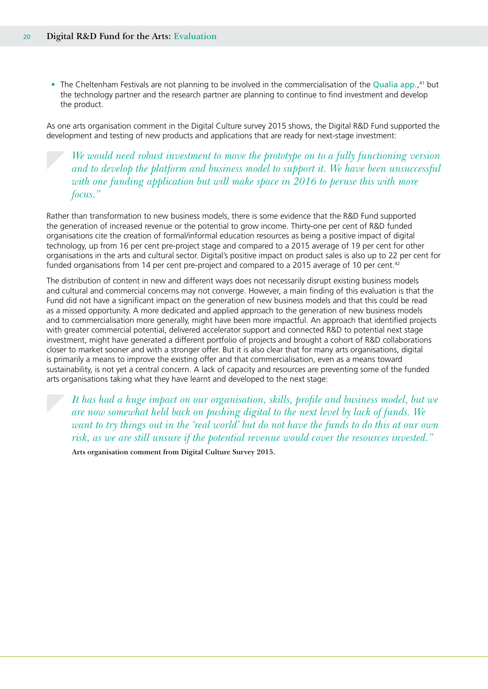• The Cheltenham Festivals are not planning to be involved in the commercialisation of the Qualia app.,<sup>41</sup> but the technology partner and the research partner are planning to continue to find investment and develop the product.

As one arts organisation comment in the Digital Culture survey 2015 shows, the Digital R&D Fund supported the development and testing of new products and applications that are ready for next-stage investment:

*We would need robust investment to move the prototype on to a fully functioning version and to develop the platform and business model to support it. We have been unsuccessful*  with one funding application but will make space in 2016 to peruse this with more *focus."*

Rather than transformation to new business models, there is some evidence that the R&D Fund supported the generation of increased revenue or the potential to grow income. Thirty-one per cent of R&D funded organisations cite the creation of formal/informal education resources as being a positive impact of digital technology, up from 16 per cent pre-project stage and compared to a 2015 average of 19 per cent for other organisations in the arts and cultural sector. Digital's positive impact on product sales is also up to 22 per cent for funded organisations from 14 per cent pre-project and compared to a 2015 average of 10 per cent.<sup>42</sup>

The distribution of content in new and different ways does not necessarily disrupt existing business models and cultural and commercial concerns may not converge. However, a main finding of this evaluation is that the Fund did not have a significant impact on the generation of new business models and that this could be read as a missed opportunity. A more dedicated and applied approach to the generation of new business models and to commercialisation more generally, might have been more impactful. An approach that identified projects with greater commercial potential, delivered accelerator support and connected R&D to potential next stage investment, might have generated a different portfolio of projects and brought a cohort of R&D collaborations closer to market sooner and with a stronger offer. But it is also clear that for many arts organisations, digital is primarily a means to improve the existing offer and that commercialisation, even as a means toward sustainability, is not yet a central concern. A lack of capacity and resources are preventing some of the funded arts organisations taking what they have learnt and developed to the next stage:

*It has had a huge impact on our organisation, skills, profile and business model, but we are now somewhat held back on pushing digital to the next level by lack of funds. We want to try things out in the 'real world' but do not have the funds to do this at our own risk, as we are still unsure if the potential revenue would cover the resources invested."* 

**Arts organisation comment from Digital Culture Survey 2015.**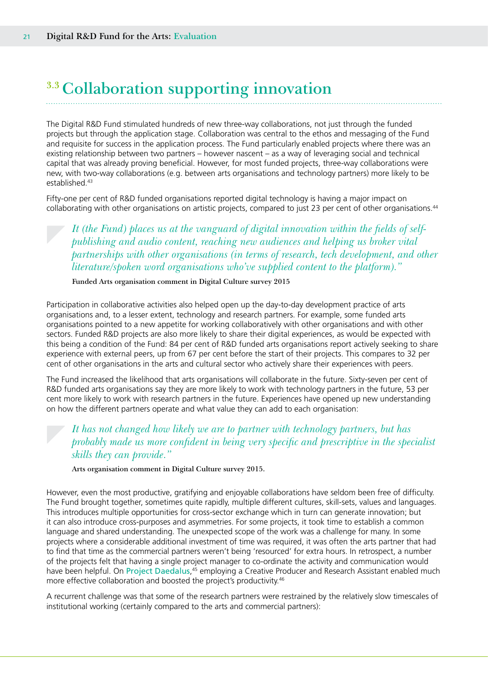# <span id="page-20-0"></span>**3.3 Collaboration supporting innovation**

The Digital R&D Fund stimulated hundreds of new three-way collaborations, not just through the funded projects but through the application stage. Collaboration was central to the ethos and messaging of the Fund and requisite for success in the application process. The Fund particularly enabled projects where there was an existing relationship between two partners – however nascent – as a way of leveraging social and technical capital that was already proving beneficial. However, for most funded projects, three-way collaborations were new, with two-way collaborations (e.g. between arts organisations and technology partners) more likely to be established.<sup>43</sup>

Fifty-one per cent of R&D funded organisations reported digital technology is having a major impact on collaborating with other organisations on artistic projects, compared to just 23 per cent of other organisations.<sup>44</sup>

*It (the Fund) places us at the vanguard of digital innovation within the fields of selfpublishing and audio content, reaching new audiences and helping us broker vital partnerships with other organisations (in terms of research, tech development, and other literature/spoken word organisations who've supplied content to the platform)."* 

**Funded Arts organisation comment in Digital Culture survey 2015**

Participation in collaborative activities also helped open up the day-to-day development practice of arts organisations and, to a lesser extent, technology and research partners. For example, some funded arts organisations pointed to a new appetite for working collaboratively with other organisations and with other sectors. Funded R&D projects are also more likely to share their digital experiences, as would be expected with this being a condition of the Fund: 84 per cent of R&D funded arts organisations report actively seeking to share experience with external peers, up from 67 per cent before the start of their projects. This compares to 32 per cent of other organisations in the arts and cultural sector who actively share their experiences with peers.

The Fund increased the likelihood that arts organisations will collaborate in the future. Sixty-seven per cent of R&D funded arts organisations say they are more likely to work with technology partners in the future, 53 per cent more likely to work with research partners in the future. Experiences have opened up new understanding on how the different partners operate and what value they can add to each organisation:

### *It has not changed how likely we are to partner with technology partners, but has probably made us more confident in being very specific and prescriptive in the specialist skills they can provide."*

**Arts organisation comment in Digital Culture survey 2015.**

However, even the most productive, gratifying and enjoyable collaborations have seldom been free of difficulty. The Fund brought together, sometimes quite rapidly, multiple different cultures, skill-sets, values and languages. This introduces multiple opportunities for cross-sector exchange which in turn can generate innovation; but it can also introduce cross-purposes and asymmetries. For some projects, it took time to establish a common language and shared understanding. The unexpected scope of the work was a challenge for many. In some projects where a considerable additional investment of time was required, it was often the arts partner that had to find that time as the commercial partners weren't being 'resourced' for extra hours. In retrospect, a number of the projects felt that having a single project manager to co-ordinate the activity and communication would have been helpful. On Project Daedalus,<sup>45</sup> employing a Creative Producer and Research Assistant enabled much more effective collaboration and boosted the project's productivity.<sup>46</sup>

A recurrent challenge was that some of the research partners were restrained by the relatively slow timescales of institutional working (certainly compared to the arts and commercial partners):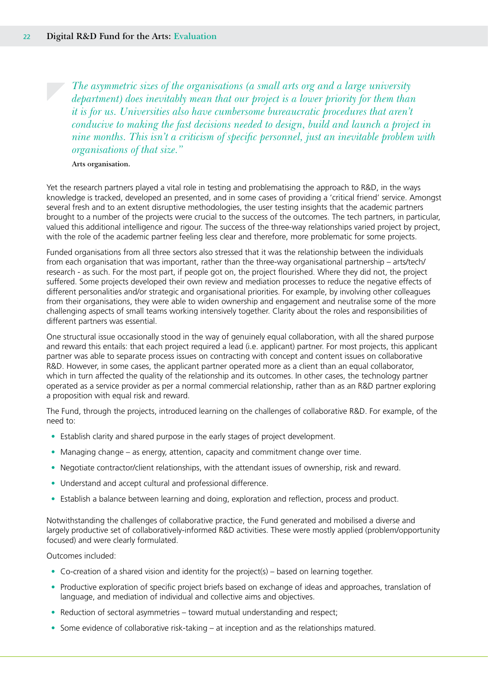*The asymmetric sizes of the organisations (a small arts org and a large university department) does inevitably mean that our project is a lower priority for them than it is for us. Universities also have cumbersome bureaucratic procedures that aren't conducive to making the fast decisions needed to design, build and launch a project in nine months. This isn't a criticism of specific personnel, just an inevitable problem with organisations of that size."* 

### **Arts organisation.**

Yet the research partners played a vital role in testing and problematising the approach to R&D, in the ways knowledge is tracked, developed an presented, and in some cases of providing a 'critical friend' service. Amongst several fresh and to an extent disruptive methodologies, the user testing insights that the academic partners brought to a number of the projects were crucial to the success of the outcomes. The tech partners, in particular, valued this additional intelligence and rigour. The success of the three-way relationships varied project by project, with the role of the academic partner feeling less clear and therefore, more problematic for some projects.

Funded organisations from all three sectors also stressed that it was the relationship between the individuals from each organisation that was important, rather than the three-way organisational partnership – arts/tech/ research - as such. For the most part, if people got on, the project flourished. Where they did not, the project suffered. Some projects developed their own review and mediation processes to reduce the negative effects of different personalities and/or strategic and organisational priorities. For example, by involving other colleagues from their organisations, they were able to widen ownership and engagement and neutralise some of the more challenging aspects of small teams working intensively together. Clarity about the roles and responsibilities of different partners was essential.

One structural issue occasionally stood in the way of genuinely equal collaboration, with all the shared purpose and reward this entails: that each project required a lead (i.e. applicant) partner. For most projects, this applicant partner was able to separate process issues on contracting with concept and content issues on collaborative R&D. However, in some cases, the applicant partner operated more as a client than an equal collaborator, which in turn affected the quality of the relationship and its outcomes. In other cases, the technology partner operated as a service provider as per a normal commercial relationship, rather than as an R&D partner exploring a proposition with equal risk and reward.

The Fund, through the projects, introduced learning on the challenges of collaborative R&D. For example, of the need to:

- Establish clarity and shared purpose in the early stages of project development.
- Managing change as energy, attention, capacity and commitment change over time.
- Negotiate contractor/client relationships, with the attendant issues of ownership, risk and reward.
- Understand and accept cultural and professional difference.
- Establish a balance between learning and doing, exploration and reflection, process and product.

Notwithstanding the challenges of collaborative practice, the Fund generated and mobilised a diverse and largely productive set of collaboratively-informed R&D activities. These were mostly applied (problem/opportunity focused) and were clearly formulated.

### Outcomes included:

- Co-creation of a shared vision and identity for the project(s) based on learning together.
- Productive exploration of specific project briefs based on exchange of ideas and approaches, translation of language, and mediation of individual and collective aims and objectives.
- Reduction of sectoral asymmetries toward mutual understanding and respect;
- Some evidence of collaborative risk-taking at inception and as the relationships matured.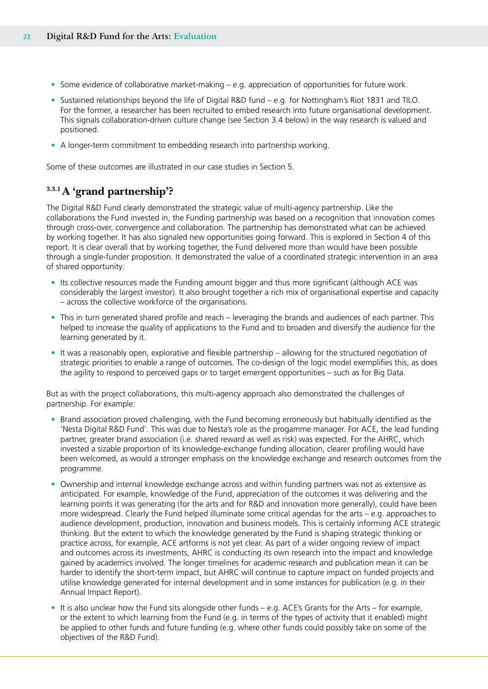- Some evidence of collaborative market-making e.g. appreciation of opportunities for future work.
- Sustained relationships beyond the life of Digital R&D fund e.g. for Nottingham's Riot 1831 and TILO. For the former, a researcher has been recruited to embed research into future organisational development. This signals collaboration-driven culture change (see Section 3.4 below) in the way research is valued and positioned.
- A longer-term commitment to embedding research into partnership working.

Some of these outcomes are illustrated in our case studies in Section 5.

### **3.3.1 A 'grand partnership'?**

The Digital R&D Fund clearly demonstrated the strategic value of multi-agency partnership. Like the collaborations the Fund invested in, the Funding partnership was based on a recognition that innovation comes through cross-over, convergence and collaboration. The partnership has demonstrated what can be achieved by working together. It has also signaled new opportunities going forward. This is explored in Section 4 of this report. It is clear overall that by working together, the Fund delivered more than would have been possible through a single-funder proposition. It demonstrated the value of a coordinated strategic intervention in an area of shared opportunity:

- Its collective resources made the Funding amount bigger and thus more significant (although ACE was considerably the largest investor). It also brought together a rich mix of organisational expertise and capacity – across the collective workforce of the organisations.
- This in turn generated shared profile and reach leveraging the brands and audiences of each partner. This helped to increase the quality of applications to the Fund and to broaden and diversify the audience for the learning generated by it.
- It was a reasonably open, explorative and flexible partnership allowing for the structured negotiation of strategic priorities to enable a range of outcomes. The co-design of the logic model exemplifies this, as does the agility to respond to perceived gaps or to target emergent opportunities – such as for Big Data.

But as with the project collaborations, this multi-agency approach also demonstrated the challenges of partnership. For example:

- Brand association proved challenging, with the Fund becoming erroneously but habitually identified as the 'Nesta Digital R&D Fund'. This was due to Nesta's role as the progamme manager. For ACE, the lead funding partner, greater brand association (i.e. shared reward as well as risk) was expected. For the AHRC, which invested a sizable proportion of its knowledge-exchange funding allocation, clearer profiling would have been welcomed, as would a stronger emphasis on the knowledge exchange and research outcomes from the programme.
- Ownership and internal knowledge exchange across and within funding partners was not as extensive as anticipated. For example, knowledge of the Fund, appreciation of the outcomes it was delivering and the learning points it was generating (for the arts and for R&D and innovation more generally), could have been more widespread. Clearly the Fund helped illuminate some critical agendas for the arts – e.g. approaches to audience development, production, innovation and business models. This is certainly informing ACE strategic thinking. But the extent to which the knowledge generated by the Fund is shaping strategic thinking or practice across, for example, ACE artforms is not yet clear. As part of a wider ongoing review of impact and outcomes across its investments, AHRC is conducting its own research into the impact and knowledge gained by academics involved. The longer timelines for academic research and publication mean it can be harder to identify the short-term impact, but AHRC will continue to capture impact on funded projects and utilise knowledge generated for internal development and in some instances for publication (e.g. in their Annual Impact Report).
- It is also unclear how the Fund sits alongside other funds e.g. ACE's Grants for the Arts for example, or the extent to which learning from the Fund (e.g. in terms of the types of activity that it enabled) might be applied to other funds and future funding (e.g. where other funds could possibly take on some of the objectives of the R&D Fund).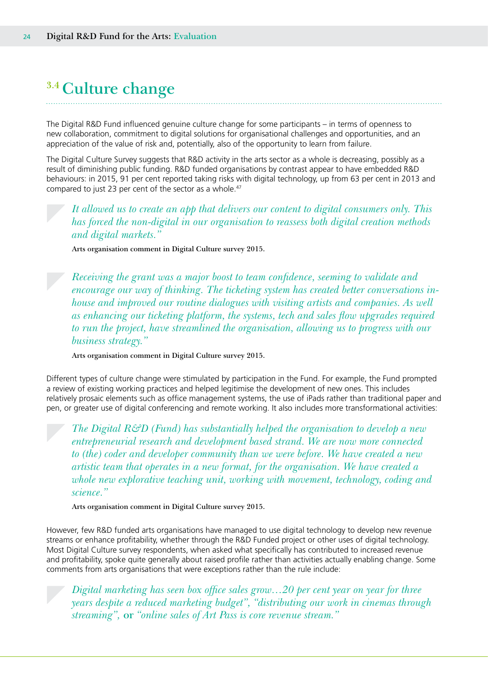## <span id="page-23-0"></span>**3.4 Culture change**

The Digital R&D Fund influenced genuine culture change for some participants – in terms of openness to new collaboration, commitment to digital solutions for organisational challenges and opportunities, and an appreciation of the value of risk and, potentially, also of the opportunity to learn from failure.

The Digital Culture Survey suggests that R&D activity in the arts sector as a whole is decreasing, possibly as a result of diminishing public funding. R&D funded organisations by contrast appear to have embedded R&D behaviours: in 2015, 91 per cent reported taking risks with digital technology, up from 63 per cent in 2013 and compared to just 23 per cent of the sector as a whole.<sup>47</sup>

*It allowed us to create an app that delivers our content to digital consumers only. This has forced the non-digital in our organisation to reassess both digital creation methods and digital markets."* 

**Arts organisation comment in Digital Culture survey 2015.**

*Receiving the grant was a major boost to team confidence, seeming to validate and encourage our way of thinking. The ticketing system has created better conversations inhouse and improved our routine dialogues with visiting artists and companies. As well as enhancing our ticketing platform, the systems, tech and sales flow upgrades required to run the project, have streamlined the organisation, allowing us to progress with our business strategy."* 

**Arts organisation comment in Digital Culture survey 2015.**

Different types of culture change were stimulated by participation in the Fund. For example, the Fund prompted a review of existing working practices and helped legitimise the development of new ones. This includes relatively prosaic elements such as office management systems, the use of iPads rather than traditional paper and pen, or greater use of digital conferencing and remote working. It also includes more transformational activities:

*The Digital R&D (Fund) has substantially helped the organisation to develop a new entrepreneurial research and development based strand. We are now more connected to (the) coder and developer community than we were before. We have created a new artistic team that operates in a new format, for the organisation. We have created a whole new explorative teaching unit, working with movement, technology, coding and science."* 

**Arts organisation comment in Digital Culture survey 2015.**

However, few R&D funded arts organisations have managed to use digital technology to develop new revenue streams or enhance profitability, whether through the R&D Funded project or other uses of digital technology. Most Digital Culture survey respondents, when asked what specifically has contributed to increased revenue and profitability, spoke quite generally about raised profile rather than activities actually enabling change. Some comments from arts organisations that were exceptions rather than the rule include:

*Digital marketing has seen box office sales grow…20 per cent year on year for three years despite a reduced marketing budget", "distributing our work in cinemas through streaming",* **or** *"online sales of Art Pass is core revenue stream."*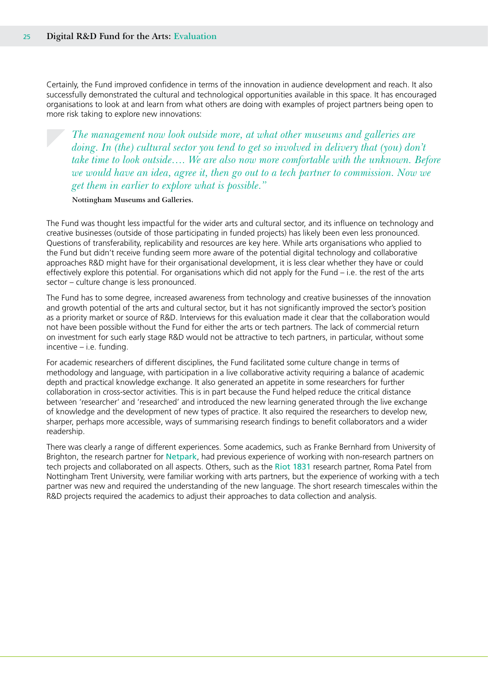Certainly, the Fund improved confidence in terms of the innovation in audience development and reach. It also successfully demonstrated the cultural and technological opportunities available in this space. It has encouraged organisations to look at and learn from what others are doing with examples of project partners being open to more risk taking to explore new innovations:

*The management now look outside more, at what other museums and galleries are doing. In (the) cultural sector you tend to get so involved in delivery that (you) don't take time to look outside…. We are also now more comfortable with the unknown. Before we would have an idea, agree it, then go out to a tech partner to commission. Now we get them in earlier to explore what is possible."* 

#### **Nottingham Museums and Galleries.**

The Fund was thought less impactful for the wider arts and cultural sector, and its influence on technology and creative businesses (outside of those participating in funded projects) has likely been even less pronounced. Questions of transferability, replicability and resources are key here. While arts organisations who applied to the Fund but didn't receive funding seem more aware of the potential digital technology and collaborative approaches R&D might have for their organisational development, it is less clear whether they have or could effectively explore this potential. For organisations which did not apply for the Fund – i.e. the rest of the arts sector – culture change is less pronounced.

The Fund has to some degree, increased awareness from technology and creative businesses of the innovation and growth potential of the arts and cultural sector, but it has not significantly improved the sector's position as a priority market or source of R&D. Interviews for this evaluation made it clear that the collaboration would not have been possible without the Fund for either the arts or tech partners. The lack of commercial return on investment for such early stage R&D would not be attractive to tech partners, in particular, without some incentive – i.e. funding.

For academic researchers of different disciplines, the Fund facilitated some culture change in terms of methodology and language, with participation in a live collaborative activity requiring a balance of academic depth and practical knowledge exchange. It also generated an appetite in some researchers for further collaboration in cross-sector activities. This is in part because the Fund helped reduce the critical distance between 'researcher' and 'researched' and introduced the new learning generated through the live exchange of knowledge and the development of new types of practice. It also required the researchers to develop new, sharper, perhaps more accessible, ways of summarising research findings to benefit collaborators and a wider readership.

There was clearly a range of different experiences. Some academics, such as Franke Bernhard from University of Brighton, the research partner for Netpark, had previous experience of working with non-research partners on tech projects and collaborated on all aspects. Others, such as the Riot 1831 research partner, Roma Patel from Nottingham Trent University, were familiar working with arts partners, but the experience of working with a tech partner was new and required the understanding of the new language. The short research timescales within the R&D projects required the academics to adjust their approaches to data collection and analysis.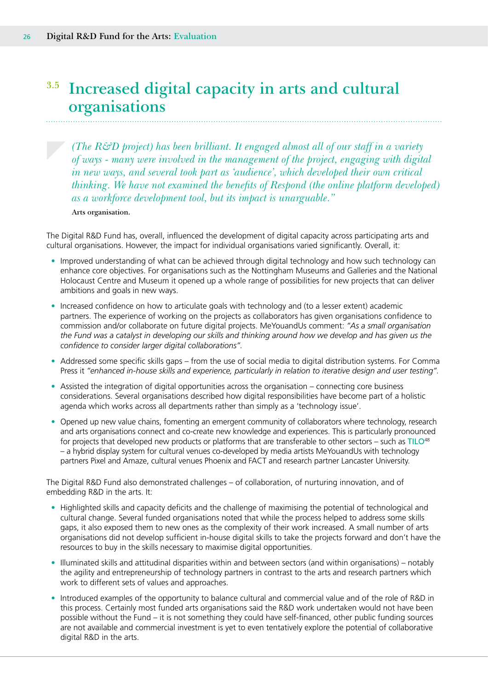### <span id="page-25-0"></span>**3.5 Increased digital capacity in arts and cultural organisations**

*(The R&D project) has been brilliant. It engaged almost all of our staff in a variety of ways - many were involved in the management of the project, engaging with digital in new ways, and several took part as 'audience', which developed their own critical thinking. We have not examined the benefits of Respond (the online platform developed) as a workforce development tool, but its impact is unarguable."* 

**Arts organisation.** 

The Digital R&D Fund has, overall, influenced the development of digital capacity across participating arts and cultural organisations. However, the impact for individual organisations varied significantly. Overall, it:

- Improved understanding of what can be achieved through digital technology and how such technology can enhance core objectives. For organisations such as the Nottingham Museums and Galleries and the National Holocaust Centre and Museum it opened up a whole range of possibilities for new projects that can deliver ambitions and goals in new ways.
- Increased confidence on how to articulate goals with technology and (to a lesser extent) academic partners. The experience of working on the projects as collaborators has given organisations confidence to commission and/or collaborate on future digital projects. MeYouandUs comment: *"As a small organisation the Fund was a catalyst in developing our skills and thinking around how we develop and has given us the confidence to consider larger digital collaborations".*
- Addressed some specific skills gaps from the use of social media to digital distribution systems. For Comma Press it *"enhanced in-house skills and experience, particularly in relation to iterative design and user testing".*
- Assisted the integration of digital opportunities across the organisation connecting core business considerations. Several organisations described how digital responsibilities have become part of a holistic agenda which works across all departments rather than simply as a 'technology issue'.
- Opened up new value chains, fomenting an emergent community of collaborators where technology, research and arts organisations connect and co-create new knowledge and experiences. This is particularly pronounced for projects that developed new products or platforms that are transferable to other sectors – such as TILO<sup>48</sup> – a hybrid display system for cultural venues co-developed by media artists MeYouandUs with technology partners Pixel and Amaze, cultural venues Phoenix and FACT and research partner Lancaster University.

The Digital R&D Fund also demonstrated challenges – of collaboration, of nurturing innovation, and of embedding R&D in the arts. It:

- Highlighted skills and capacity deficits and the challenge of maximising the potential of technological and cultural change. Several funded organisations noted that while the process helped to address some skills gaps, it also exposed them to new ones as the complexity of their work increased. A small number of arts organisations did not develop sufficient in-house digital skills to take the projects forward and don't have the resources to buy in the skills necessary to maximise digital opportunities.
- Illuminated skills and attitudinal disparities within and between sectors (and within organisations) notably the agility and entrepreneurship of technology partners in contrast to the arts and research partners which work to different sets of values and approaches.
- Introduced examples of the opportunity to balance cultural and commercial value and of the role of R&D in this process. Certainly most funded arts organisations said the R&D work undertaken would not have been possible without the Fund – it is not something they could have self-financed, other public funding sources are not available and commercial investment is yet to even tentatively explore the potential of collaborative digital R&D in the arts.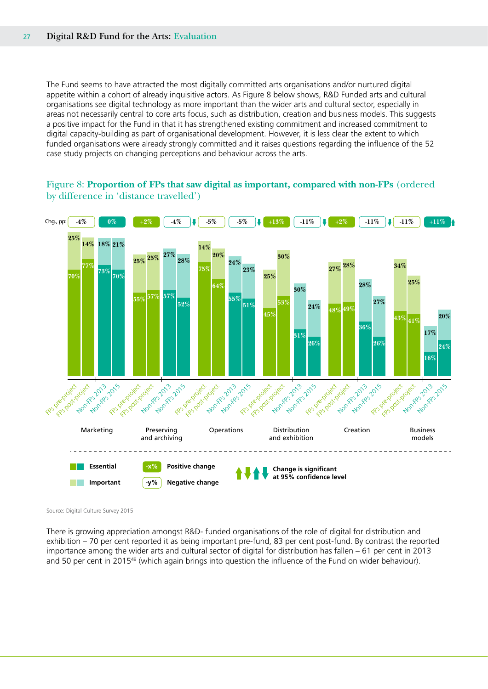The Fund seems to have attracted the most digitally committed arts organisations and/or nurtured digital appetite within a cohort of already inquisitive actors. As Figure 8 below shows, R&D Funded arts and cultural organisations see digital technology as more important than the wider arts and cultural sector, especially in areas not necessarily central to core arts focus, such as distribution, creation and business models. This suggests a positive impact for the Fund in that it has strengthened existing commitment and increased commitment to digital capacity-building as part of organisational development. However, it is less clear the extent to which funded organisations were already strongly committed and it raises questions regarding the influence of the 52 case study projects on changing perceptions and behaviour across the arts.

### Figure 8: **Proportion of FPs that saw digital as important, compared with non-FPs** (ordered by difference in 'distance travelled')



Source: Digital Culture Survey 2015

There is growing appreciation amongst R&D- funded organisations of the role of digital for distribution and exhibition – 70 per cent reported it as being important pre-fund, 83 per cent post-fund. By contrast the reported importance among the wider arts and cultural sector of digital for distribution has fallen – 61 per cent in 2013 and 50 per cent in 2015<sup>49</sup> (which again brings into question the influence of the Fund on wider behaviour).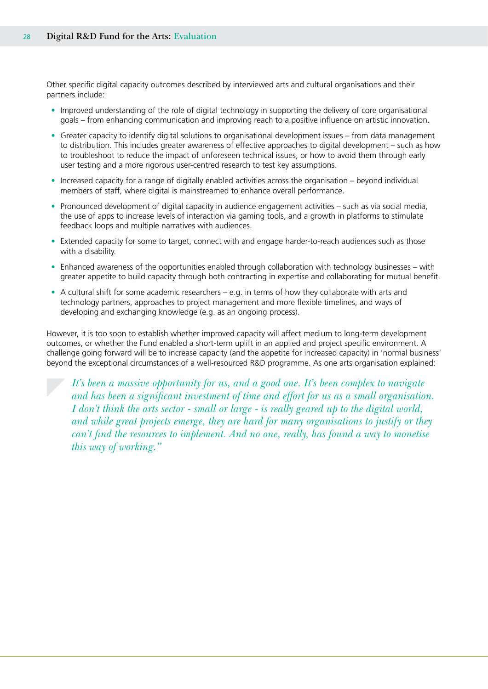Other specific digital capacity outcomes described by interviewed arts and cultural organisations and their partners include:

- Improved understanding of the role of digital technology in supporting the delivery of core organisational goals – from enhancing communication and improving reach to a positive influence on artistic innovation.
- Greater capacity to identify digital solutions to organisational development issues from data management to distribution. This includes greater awareness of effective approaches to digital development – such as how to troubleshoot to reduce the impact of unforeseen technical issues, or how to avoid them through early user testing and a more rigorous user-centred research to test key assumptions.
- Increased capacity for a range of digitally enabled activities across the organisation beyond individual members of staff, where digital is mainstreamed to enhance overall performance.
- Pronounced development of digital capacity in audience engagement activities such as via social media, the use of apps to increase levels of interaction via gaming tools, and a growth in platforms to stimulate feedback loops and multiple narratives with audiences.
- Extended capacity for some to target, connect with and engage harder-to-reach audiences such as those with a disability.
- Enhanced awareness of the opportunities enabled through collaboration with technology businesses with greater appetite to build capacity through both contracting in expertise and collaborating for mutual benefit.
- A cultural shift for some academic researchers e.g. in terms of how they collaborate with arts and technology partners, approaches to project management and more flexible timelines, and ways of developing and exchanging knowledge (e.g. as an ongoing process).

However, it is too soon to establish whether improved capacity will affect medium to long-term development outcomes, or whether the Fund enabled a short-term uplift in an applied and project specific environment. A challenge going forward will be to increase capacity (and the appetite for increased capacity) in 'normal business' beyond the exceptional circumstances of a well-resourced R&D programme. As one arts organisation explained:

*It's been a massive opportunity for us, and a good one. It's been complex to navigate and has been a significant investment of time and effort for us as a small organisation. I don't think the arts sector - small or large - is really geared up to the digital world, and while great projects emerge, they are hard for many organisations to justify or they can't find the resources to implement. And no one, really, has found a way to monetise this way of working."*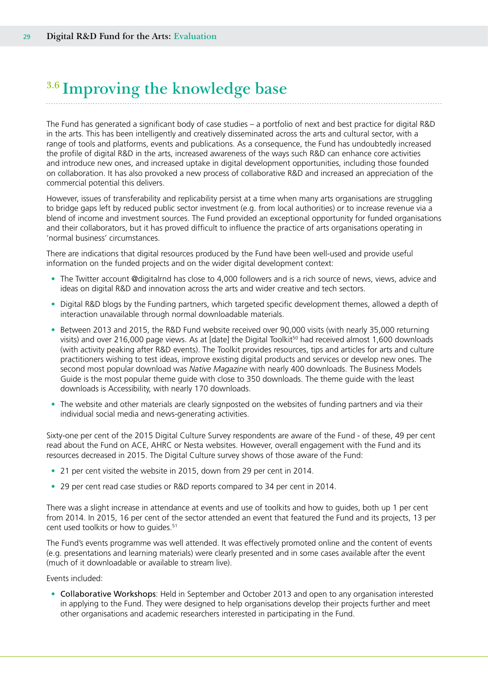# <span id="page-28-0"></span>**3.6 Improving the knowledge base**

The Fund has generated a significant body of case studies – a portfolio of next and best practice for digital R&D in the arts. This has been intelligently and creatively disseminated across the arts and cultural sector, with a range of tools and platforms, events and publications. As a consequence, the Fund has undoubtedly increased the profile of digital R&D in the arts, increased awareness of the ways such R&D can enhance core activities and introduce new ones, and increased uptake in digital development opportunities, including those founded on collaboration. It has also provoked a new process of collaborative R&D and increased an appreciation of the commercial potential this delivers.

However, issues of transferability and replicability persist at a time when many arts organisations are struggling to bridge gaps left by reduced public sector investment (e.g. from local authorities) or to increase revenue via a blend of income and investment sources. The Fund provided an exceptional opportunity for funded organisations and their collaborators, but it has proved difficult to influence the practice of arts organisations operating in 'normal business' circumstances.

There are indications that digital resources produced by the Fund have been well-used and provide useful information on the funded projects and on the wider digital development context:

- The Twitter account @digitalrnd has close to 4,000 followers and is a rich source of news, views, advice and ideas on digital R&D and innovation across the arts and wider creative and tech sectors.
- Digital R&D blogs by the Funding partners, which targeted specific development themes, allowed a depth of interaction unavailable through normal downloadable materials.
- Between 2013 and 2015, the R&D Fund website received over 90,000 visits (with nearly 35,000 returning visits) and over 216,000 page views. As at [date] the Digital Toolkit<sup>50</sup> had received almost 1,600 downloads (with activity peaking after R&D events). The Toolkit provides resources, tips and articles for arts and culture practitioners wishing to test ideas, improve existing digital products and services or develop new ones. The second most popular download was *Native Magazine* with nearly 400 downloads. The Business Models Guide is the most popular theme guide with close to 350 downloads. The theme guide with the least downloads is Accessibility, with nearly 170 downloads.
- The website and other materials are clearly signposted on the websites of funding partners and via their individual social media and news-generating activities.

Sixty-one per cent of the 2015 Digital Culture Survey respondents are aware of the Fund - of these, 49 per cent read about the Fund on ACE, AHRC or Nesta websites. However, overall engagement with the Fund and its resources decreased in 2015. The Digital Culture survey shows of those aware of the Fund:

- 21 per cent visited the website in 2015, down from 29 per cent in 2014.
- 29 per cent read case studies or R&D reports compared to 34 per cent in 2014.

There was a slight increase in attendance at events and use of toolkits and how to guides, both up 1 per cent from 2014. In 2015, 16 per cent of the sector attended an event that featured the Fund and its projects, 13 per cent used toolkits or how to quides.<sup>51</sup>

The Fund's events programme was well attended. It was effectively promoted online and the content of events (e.g. presentations and learning materials) were clearly presented and in some cases available after the event (much of it downloadable or available to stream live).

Events included:

• Collaborative Workshops: Held in September and October 2013 and open to any organisation interested in applying to the Fund. They were designed to help organisations develop their projects further and meet other organisations and academic researchers interested in participating in the Fund.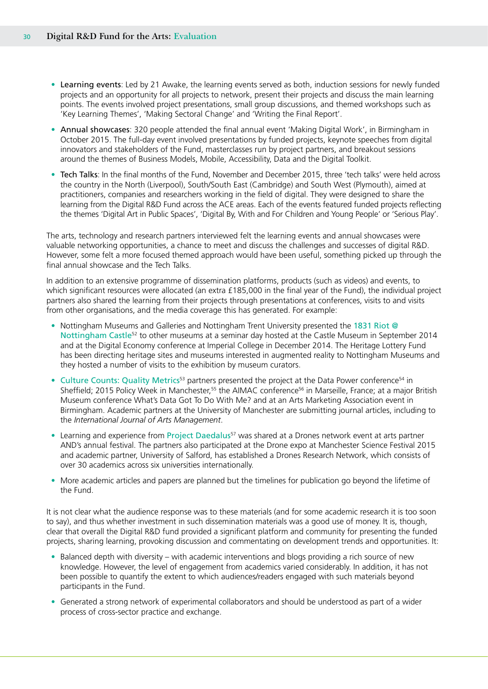- Learning events: Led by 21 Awake, the learning events served as both, induction sessions for newly funded projects and an opportunity for all projects to network, present their projects and discuss the main learning points. The events involved project presentations, small group discussions, and themed workshops such as 'Key Learning Themes', 'Making Sectoral Change' and 'Writing the Final Report'.
- Annual showcases: 320 people attended the final annual event 'Making Digital Work', in Birmingham in October 2015. The full-day event involved presentations by funded projects, keynote speeches from digital innovators and stakeholders of the Fund, masterclasses run by project partners, and breakout sessions around the themes of Business Models, Mobile, Accessibility, Data and the Digital Toolkit.
- Tech Talks: In the final months of the Fund, November and December 2015, three 'tech talks' were held across the country in the North (Liverpool), South/South East (Cambridge) and South West (Plymouth), aimed at practitioners, companies and researchers working in the field of digital. They were designed to share the learning from the Digital R&D Fund across the ACE areas. Each of the events featured funded projects reflecting the themes 'Digital Art in Public Spaces', 'Digital By, With and For Children and Young People' or 'Serious Play'.

The arts, technology and research partners interviewed felt the learning events and annual showcases were valuable networking opportunities, a chance to meet and discuss the challenges and successes of digital R&D. However, some felt a more focused themed approach would have been useful, something picked up through the final annual showcase and the Tech Talks.

In addition to an extensive programme of dissemination platforms, products (such as videos) and events, to which significant resources were allocated (an extra £185,000 in the final year of the Fund), the individual project partners also shared the learning from their projects through presentations at conferences, visits to and visits from other organisations, and the media coverage this has generated. For example:

- Nottingham Museums and Galleries and Nottingham Trent University presented the 1831 Riot @ Nottingham Castle<sup>52</sup> to other museums at a seminar day hosted at the Castle Museum in September 2014 and at the Digital Economy conference at Imperial College in December 2014. The Heritage Lottery Fund has been directing heritage sites and museums interested in augmented reality to Nottingham Museums and they hosted a number of visits to the exhibition by museum curators.
- Culture Counts: Quality Metrics<sup>53</sup> partners presented the project at the Data Power conference<sup>54</sup> in Sheffield; 2015 Policy Week in Manchester,<sup>55</sup> the AIMAC conference<sup>56</sup> in Marseille, France; at a major British Museum conference What's Data Got To Do With Me? and at an Arts Marketing Association event in Birmingham. Academic partners at the University of Manchester are submitting journal articles, including to the *International Journal of Arts Management*.
- Learning and experience from Project Daedalus<sup>57</sup> was shared at a Drones network event at arts partner AND's annual festival. The partners also participated at the Drone expo at Manchester Science Festival 2015 and academic partner, University of Salford, has established a Drones Research Network, which consists of over 30 academics across six universities internationally.
- More academic articles and papers are planned but the timelines for publication go beyond the lifetime of the Fund.

It is not clear what the audience response was to these materials (and for some academic research it is too soon to say), and thus whether investment in such dissemination materials was a good use of money. It is, though, clear that overall the Digital R&D fund provided a significant platform and community for presenting the funded projects, sharing learning, provoking discussion and commentating on development trends and opportunities. It:

- Balanced depth with diversity with academic interventions and blogs providing a rich source of new knowledge. However, the level of engagement from academics varied considerably. In addition, it has not been possible to quantify the extent to which audiences/readers engaged with such materials beyond participants in the Fund.
- Generated a strong network of experimental collaborators and should be understood as part of a wider process of cross-sector practice and exchange.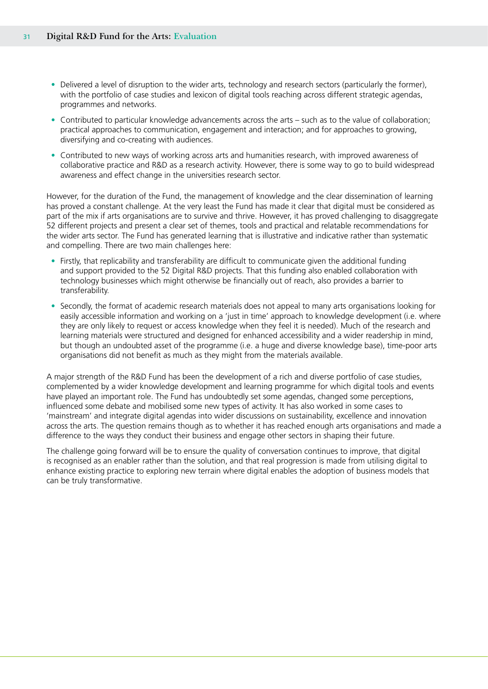- Delivered a level of disruption to the wider arts, technology and research sectors (particularly the former), with the portfolio of case studies and lexicon of digital tools reaching across different strategic agendas, programmes and networks.
- Contributed to particular knowledge advancements across the arts such as to the value of collaboration; practical approaches to communication, engagement and interaction; and for approaches to growing, diversifying and co-creating with audiences.
- Contributed to new ways of working across arts and humanities research, with improved awareness of collaborative practice and R&D as a research activity. However, there is some way to go to build widespread awareness and effect change in the universities research sector.

However, for the duration of the Fund, the management of knowledge and the clear dissemination of learning has proved a constant challenge. At the very least the Fund has made it clear that digital must be considered as part of the mix if arts organisations are to survive and thrive. However, it has proved challenging to disaggregate 52 different projects and present a clear set of themes, tools and practical and relatable recommendations for the wider arts sector. The Fund has generated learning that is illustrative and indicative rather than systematic and compelling. There are two main challenges here:

- Firstly, that replicability and transferability are difficult to communicate given the additional funding and support provided to the 52 Digital R&D projects. That this funding also enabled collaboration with technology businesses which might otherwise be financially out of reach, also provides a barrier to transferability.
- Secondly, the format of academic research materials does not appeal to many arts organisations looking for easily accessible information and working on a 'just in time' approach to knowledge development (i.e. where they are only likely to request or access knowledge when they feel it is needed). Much of the research and learning materials were structured and designed for enhanced accessibility and a wider readership in mind, but though an undoubted asset of the programme (i.e. a huge and diverse knowledge base), time-poor arts organisations did not benefit as much as they might from the materials available.

A major strength of the R&D Fund has been the development of a rich and diverse portfolio of case studies, complemented by a wider knowledge development and learning programme for which digital tools and events have played an important role. The Fund has undoubtedly set some agendas, changed some perceptions, influenced some debate and mobilised some new types of activity. It has also worked in some cases to 'mainstream' and integrate digital agendas into wider discussions on sustainability, excellence and innovation across the arts. The question remains though as to whether it has reached enough arts organisations and made a difference to the ways they conduct their business and engage other sectors in shaping their future.

The challenge going forward will be to ensure the quality of conversation continues to improve, that digital is recognised as an enabler rather than the solution, and that real progression is made from utilising digital to enhance existing practice to exploring new terrain where digital enables the adoption of business models that can be truly transformative.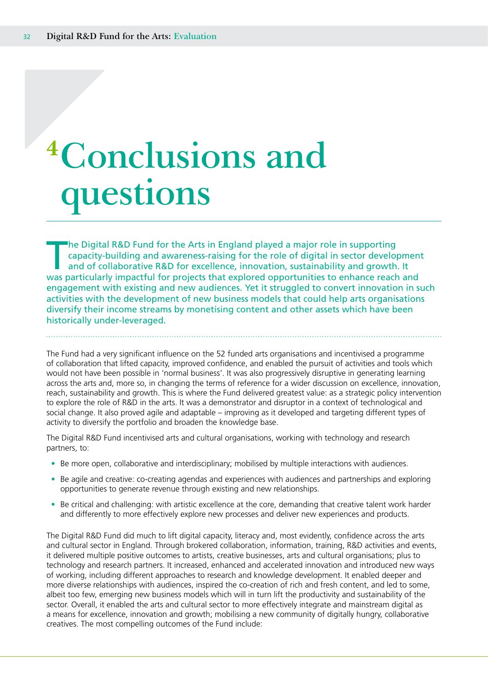# <span id="page-31-0"></span>**<sup>4</sup>Conclusions and questions**

The Digital R&D Fund for the Arts in England played a major role in supporting<br>capacity-building and awareness-raising for the role of digital in sector develop<br>and of collaborative R&D for excellence, innovation, sustaina capacity-building and awareness-raising for the role of digital in sector development and of collaborative R&D for excellence, innovation, sustainability and growth. It was particularly impactful for projects that explored opportunities to enhance reach and engagement with existing and new audiences. Yet it struggled to convert innovation in such activities with the development of new business models that could help arts organisations diversify their income streams by monetising content and other assets which have been historically under-leveraged.

The Fund had a very significant influence on the 52 funded arts organisations and incentivised a programme of collaboration that lifted capacity, improved confidence, and enabled the pursuit of activities and tools which would not have been possible in 'normal business'. It was also progressively disruptive in generating learning across the arts and, more so, in changing the terms of reference for a wider discussion on excellence, innovation, reach, sustainability and growth. This is where the Fund delivered greatest value: as a strategic policy intervention to explore the role of R&D in the arts. It was a demonstrator and disruptor in a context of technological and social change. It also proved agile and adaptable – improving as it developed and targeting different types of activity to diversify the portfolio and broaden the knowledge base.

The Digital R&D Fund incentivised arts and cultural organisations, working with technology and research partners, to:

- Be more open, collaborative and interdisciplinary; mobilised by multiple interactions with audiences.
- Be agile and creative: co-creating agendas and experiences with audiences and partnerships and exploring opportunities to generate revenue through existing and new relationships.
- Be critical and challenging: with artistic excellence at the core, demanding that creative talent work harder and differently to more effectively explore new processes and deliver new experiences and products.

The Digital R&D Fund did much to lift digital capacity, literacy and, most evidently, confidence across the arts and cultural sector in England. Through brokered collaboration, information, training, R&D activities and events, it delivered multiple positive outcomes to artists, creative businesses, arts and cultural organisations; plus to technology and research partners. It increased, enhanced and accelerated innovation and introduced new ways of working, including different approaches to research and knowledge development. It enabled deeper and more diverse relationships with audiences, inspired the co-creation of rich and fresh content, and led to some, albeit too few, emerging new business models which will in turn lift the productivity and sustainability of the sector. Overall, it enabled the arts and cultural sector to more effectively integrate and mainstream digital as a means for excellence, innovation and growth; mobilising a new community of digitally hungry, collaborative creatives. The most compelling outcomes of the Fund include: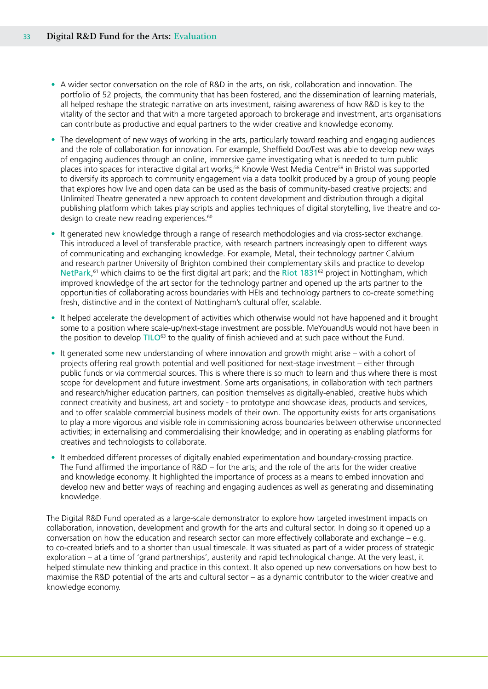- A wider sector conversation on the role of R&D in the arts, on risk, collaboration and innovation. The portfolio of 52 projects, the community that has been fostered, and the dissemination of learning materials, all helped reshape the strategic narrative on arts investment, raising awareness of how R&D is key to the vitality of the sector and that with a more targeted approach to brokerage and investment, arts organisations can contribute as productive and equal partners to the wider creative and knowledge economy.
- The development of new ways of working in the arts, particularly toward reaching and engaging audiences and the role of collaboration for innovation. For example, Sheffield Doc/Fest was able to develop new ways of engaging audiences through an online, immersive game investigating what is needed to turn public places into spaces for interactive digital art works;<sup>58</sup> Knowle West Media Centre<sup>59</sup> in Bristol was supported to diversify its approach to community engagement via a data toolkit produced by a group of young people that explores how live and open data can be used as the basis of community-based creative projects; and Unlimited Theatre generated a new approach to content development and distribution through a digital publishing platform which takes play scripts and applies techniques of digital storytelling, live theatre and codesign to create new reading experiences.<sup>60</sup>
- It generated new knowledge through a range of research methodologies and via cross-sector exchange. This introduced a level of transferable practice, with research partners increasingly open to different ways of communicating and exchanging knowledge. For example, Metal, their technology partner Calvium and research partner University of Brighton combined their complementary skills and practice to develop NetPark,<sup>61</sup> which claims to be the first digital art park; and the Riot 1831<sup>62</sup> project in Nottingham, which improved knowledge of the art sector for the technology partner and opened up the arts partner to the opportunities of collaborating across boundaries with HEIs and technology partners to co-create something fresh, distinctive and in the context of Nottingham's cultural offer, scalable.
- It helped accelerate the development of activities which otherwise would not have happened and it brought some to a position where scale-up/next-stage investment are possible. MeYouandUs would not have been in the position to develop TILO<sup>63</sup> to the quality of finish achieved and at such pace without the Fund.
- It generated some new understanding of where innovation and growth might arise with a cohort of projects offering real growth potential and well positioned for next-stage investment – either through public funds or via commercial sources. This is where there is so much to learn and thus where there is most scope for development and future investment. Some arts organisations, in collaboration with tech partners and research/higher education partners, can position themselves as digitally-enabled, creative hubs which connect creativity and business, art and society - to prototype and showcase ideas, products and services, and to offer scalable commercial business models of their own. The opportunity exists for arts organisations to play a more vigorous and visible role in commissioning across boundaries between otherwise unconnected activities; in externalising and commercialising their knowledge; and in operating as enabling platforms for creatives and technologists to collaborate.
- It embedded different processes of digitally enabled experimentation and boundary-crossing practice. The Fund affirmed the importance of R&D – for the arts; and the role of the arts for the wider creative and knowledge economy. It highlighted the importance of process as a means to embed innovation and develop new and better ways of reaching and engaging audiences as well as generating and disseminating knowledge.

The Digital R&D Fund operated as a large-scale demonstrator to explore how targeted investment impacts on collaboration, innovation, development and growth for the arts and cultural sector. In doing so it opened up a conversation on how the education and research sector can more effectively collaborate and exchange – e.g. to co-created briefs and to a shorter than usual timescale. It was situated as part of a wider process of strategic exploration – at a time of 'grand partnerships', austerity and rapid technological change. At the very least, it helped stimulate new thinking and practice in this context. It also opened up new conversations on how best to maximise the R&D potential of the arts and cultural sector – as a dynamic contributor to the wider creative and knowledge economy.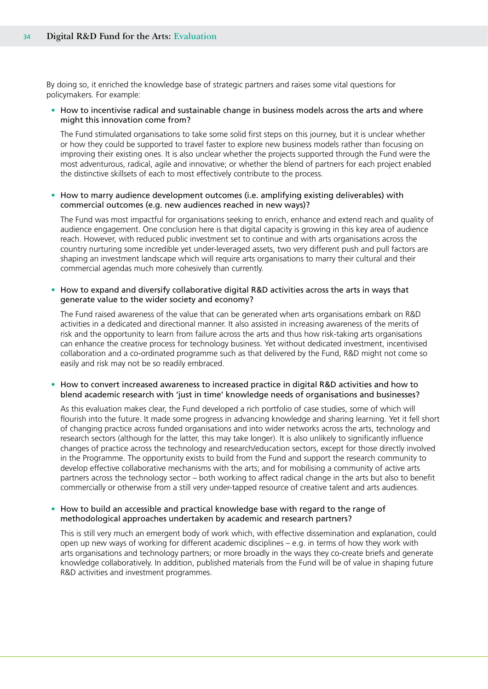By doing so, it enriched the knowledge base of strategic partners and raises some vital questions for policymakers. For example:

### • How to incentivise radical and sustainable change in business models across the arts and where might this innovation come from?

The Fund stimulated organisations to take some solid first steps on this journey, but it is unclear whether or how they could be supported to travel faster to explore new business models rather than focusing on improving their existing ones. It is also unclear whether the projects supported through the Fund were the most adventurous, radical, agile and innovative; or whether the blend of partners for each project enabled the distinctive skillsets of each to most effectively contribute to the process.

### • How to marry audience development outcomes (i.e. amplifying existing deliverables) with commercial outcomes (e.g. new audiences reached in new ways)?

The Fund was most impactful for organisations seeking to enrich, enhance and extend reach and quality of audience engagement. One conclusion here is that digital capacity is growing in this key area of audience reach. However, with reduced public investment set to continue and with arts organisations across the country nurturing some incredible yet under-leveraged assets, two very different push and pull factors are shaping an investment landscape which will require arts organisations to marry their cultural and their commercial agendas much more cohesively than currently.

### • How to expand and diversify collaborative digital R&D activities across the arts in ways that generate value to the wider society and economy?

The Fund raised awareness of the value that can be generated when arts organisations embark on R&D activities in a dedicated and directional manner. It also assisted in increasing awareness of the merits of risk and the opportunity to learn from failure across the arts and thus how risk-taking arts organisations can enhance the creative process for technology business. Yet without dedicated investment, incentivised collaboration and a co-ordinated programme such as that delivered by the Fund, R&D might not come so easily and risk may not be so readily embraced.

### • How to convert increased awareness to increased practice in digital R&D activities and how to blend academic research with 'just in time' knowledge needs of organisations and businesses?

As this evaluation makes clear, the Fund developed a rich portfolio of case studies, some of which will flourish into the future. It made some progress in advancing knowledge and sharing learning. Yet it fell short of changing practice across funded organisations and into wider networks across the arts, technology and research sectors (although for the latter, this may take longer). It is also unlikely to significantly influence changes of practice across the technology and research/education sectors, except for those directly involved in the Programme. The opportunity exists to build from the Fund and support the research community to develop effective collaborative mechanisms with the arts; and for mobilising a community of active arts partners across the technology sector – both working to affect radical change in the arts but also to benefit commercially or otherwise from a still very under-tapped resource of creative talent and arts audiences.

### • How to build an accessible and practical knowledge base with regard to the range of methodological approaches undertaken by academic and research partners?

This is still very much an emergent body of work which, with effective dissemination and explanation, could open up new ways of working for different academic disciplines – e.g. in terms of how they work with arts organisations and technology partners; or more broadly in the ways they co-create briefs and generate knowledge collaboratively. In addition, published materials from the Fund will be of value in shaping future R&D activities and investment programmes.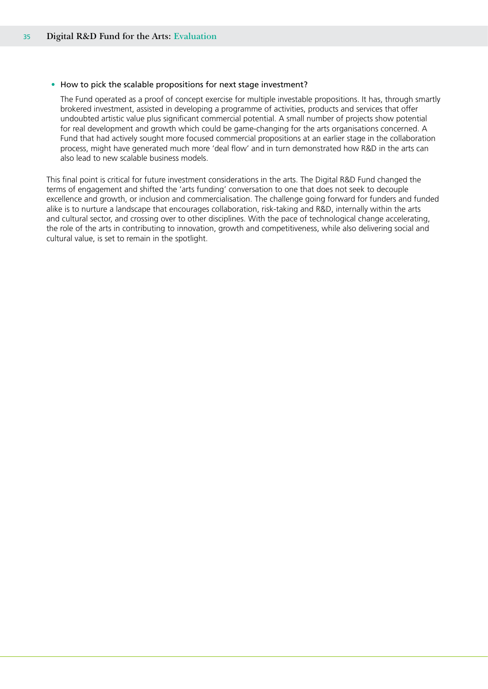### • How to pick the scalable propositions for next stage investment?

The Fund operated as a proof of concept exercise for multiple investable propositions. It has, through smartly brokered investment, assisted in developing a programme of activities, products and services that offer undoubted artistic value plus significant commercial potential. A small number of projects show potential for real development and growth which could be game-changing for the arts organisations concerned. A Fund that had actively sought more focused commercial propositions at an earlier stage in the collaboration process, might have generated much more 'deal flow' and in turn demonstrated how R&D in the arts can also lead to new scalable business models.

This final point is critical for future investment considerations in the arts. The Digital R&D Fund changed the terms of engagement and shifted the 'arts funding' conversation to one that does not seek to decouple excellence and growth, or inclusion and commercialisation. The challenge going forward for funders and funded alike is to nurture a landscape that encourages collaboration, risk-taking and R&D, internally within the arts and cultural sector, and crossing over to other disciplines. With the pace of technological change accelerating, the role of the arts in contributing to innovation, growth and competitiveness, while also delivering social and cultural value, is set to remain in the spotlight.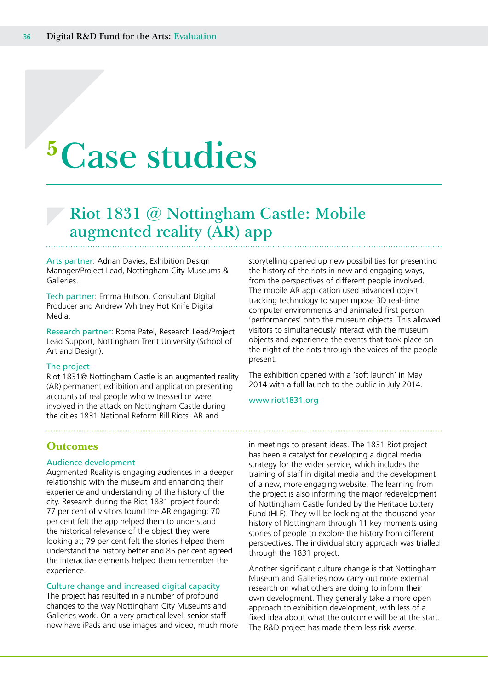# <span id="page-35-0"></span>**<sup>5</sup>Case studies**

### **Riot 1831 @ Nottingham Castle: Mobile augmented reality (AR) app**

Arts partner: Adrian Davies, Exhibition Design Manager/Project Lead, Nottingham City Museums & Galleries.

Tech partner: Emma Hutson, Consultant Digital Producer and Andrew Whitney Hot Knife Digital Media.

Research partner: Roma Patel, Research Lead/Project Lead Support, Nottingham Trent University (School of Art and Design).

#### The project

Riot 1831@ Nottingham Castle is an augmented reality (AR) permanent exhibition and application presenting accounts of real people who witnessed or were involved in the attack on Nottingham Castle during the cities 1831 National Reform Bill Riots. AR and

storytelling opened up new possibilities for presenting the history of the riots in new and engaging ways, from the perspectives of different people involved. The mobile AR application used advanced object tracking technology to superimpose 3D real-time computer environments and animated first person 'performances' onto the museum objects. This allowed visitors to simultaneously interact with the museum objects and experience the events that took place on the night of the riots through the voices of the people present.

The exhibition opened with a 'soft launch' in May 2014 with a full launch to the public in July 2014.

www.riot1831.org

### **Outcomes**

### Audience development

Augmented Reality is engaging audiences in a deeper relationship with the museum and enhancing their experience and understanding of the history of the city. Research during the Riot 1831 project found: 77 per cent of visitors found the AR engaging; 70 per cent felt the app helped them to understand the historical relevance of the object they were looking at; 79 per cent felt the stories helped them understand the history better and 85 per cent agreed the interactive elements helped them remember the experience.

### Culture change and increased digital capacity

The project has resulted in a number of profound changes to the way Nottingham City Museums and Galleries work. On a very practical level, senior staff now have iPads and use images and video, much more in meetings to present ideas. The 1831 Riot project has been a catalyst for developing a digital media strategy for the wider service, which includes the training of staff in digital media and the development of a new, more engaging website. The learning from the project is also informing the major redevelopment of Nottingham Castle funded by the Heritage Lottery Fund (HLF). They will be looking at the thousand-year history of Nottingham through 11 key moments using stories of people to explore the history from different perspectives. The individual story approach was trialled through the 1831 project.

Another significant culture change is that Nottingham Museum and Galleries now carry out more external research on what others are doing to inform their own development. They generally take a more open approach to exhibition development, with less of a fixed idea about what the outcome will be at the start. The R&D project has made them less risk averse.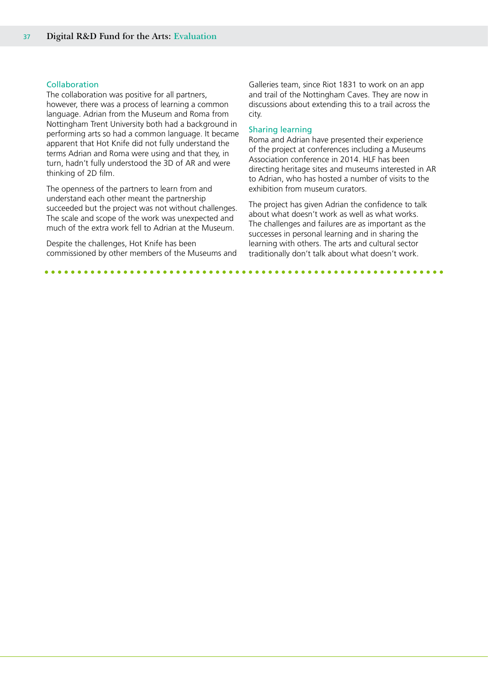### Collaboration

The collaboration was positive for all partners, however, there was a process of learning a common language. Adrian from the Museum and Roma from Nottingham Trent University both had a background in performing arts so had a common language. It became apparent that Hot Knife did not fully understand the terms Adrian and Roma were using and that they, in turn, hadn't fully understood the 3D of AR and were thinking of 2D film.

The openness of the partners to learn from and understand each other meant the partnership succeeded but the project was not without challenges. The scale and scope of the work was unexpected and much of the extra work fell to Adrian at the Museum.

Despite the challenges, Hot Knife has been commissioned by other members of the Museums and

Galleries team, since Riot 1831 to work on an app and trail of the Nottingham Caves. They are now in discussions about extending this to a trail across the city.

### Sharing learning

Roma and Adrian have presented their experience of the project at conferences including a Museums Association conference in 2014. HLF has been directing heritage sites and museums interested in AR to Adrian, who has hosted a number of visits to the exhibition from museum curators.

The project has given Adrian the confidence to talk about what doesn't work as well as what works. The challenges and failures are as important as the successes in personal learning and in sharing the learning with others. The arts and cultural sector traditionally don't talk about what doesn't work.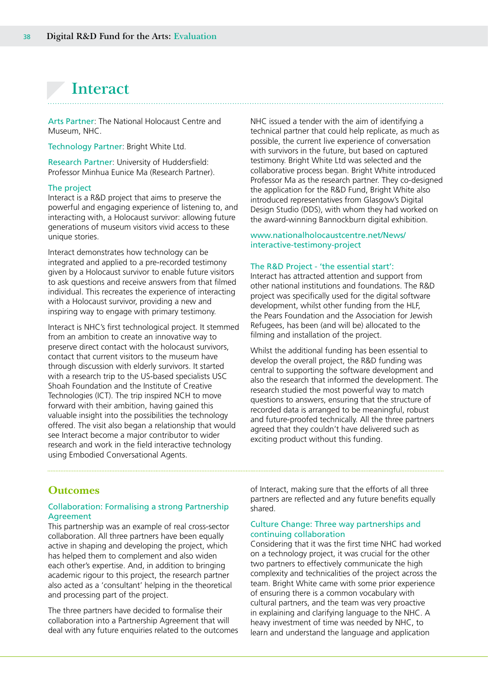### <span id="page-37-0"></span>**Interact**

Arts Partner: The National Holocaust Centre and Museum, NHC.

Technology Partner: Bright White Ltd.

Research Partner: University of Huddersfield: Professor Minhua Eunice Ma (Research Partner).

### The project

Interact is a R&D project that aims to preserve the powerful and engaging experience of listening to, and interacting with, a Holocaust survivor: allowing future generations of museum visitors vivid access to these unique stories.

Interact demonstrates how technology can be integrated and applied to a pre-recorded testimony given by a Holocaust survivor to enable future visitors to ask questions and receive answers from that filmed individual. This recreates the experience of interacting with a Holocaust survivor, providing a new and inspiring way to engage with primary testimony.

Interact is NHC's first technological project. It stemmed from an ambition to create an innovative way to preserve direct contact with the holocaust survivors, contact that current visitors to the museum have through discussion with elderly survivors. It started with a research trip to the US-based specialists USC Shoah Foundation and the Institute of Creative Technologies (ICT). The trip inspired NCH to move forward with their ambition, having gained this valuable insight into the possibilities the technology offered. The visit also began a relationship that would see Interact become a major contributor to wider research and work in the field interactive technology using Embodied Conversational Agents.

NHC issued a tender with the aim of identifying a technical partner that could help replicate, as much as possible, the current live experience of conversation with survivors in the future, but based on captured testimony. Bright White Ltd was selected and the collaborative process began. Bright White introduced Professor Ma as the research partner. They co-designed the application for the R&D Fund, Bright White also introduced representatives from Glasgow's Digital Design Studio (DDS), with whom they had worked on the award-winning Bannockburn digital exhibition.

### www.nationalholocaustcentre.net/News/ interactive-testimony-project

#### The R&D Project - 'the essential start':

Interact has attracted attention and support from other national institutions and foundations. The R&D project was specifically used for the digital software development, whilst other funding from the HLF, the Pears Foundation and the Association for Jewish Refugees, has been (and will be) allocated to the filming and installation of the project.

Whilst the additional funding has been essential to develop the overall project, the R&D funding was central to supporting the software development and also the research that informed the development. The research studied the most powerful way to match questions to answers, ensuring that the structure of recorded data is arranged to be meaningful, robust and future-proofed technically. All the three partners agreed that they couldn't have delivered such as exciting product without this funding.

### **Outcomes**

### Collaboration: Formalising a strong Partnership Agreement

This partnership was an example of real cross-sector collaboration. All three partners have been equally active in shaping and developing the project, which has helped them to complement and also widen each other's expertise. And, in addition to bringing academic rigour to this project, the research partner also acted as a 'consultant' helping in the theoretical and processing part of the project.

The three partners have decided to formalise their collaboration into a Partnership Agreement that will deal with any future enquiries related to the outcomes of Interact, making sure that the efforts of all three partners are reflected and any future benefits equally shared.

### Culture Change: Three way partnerships and continuing collaboration

Considering that it was the first time NHC had worked on a technology project, it was crucial for the other two partners to effectively communicate the high complexity and technicalities of the project across the team. Bright White came with some prior experience of ensuring there is a common vocabulary with cultural partners, and the team was very proactive in explaining and clarifying language to the NHC. A heavy investment of time was needed by NHC, to learn and understand the language and application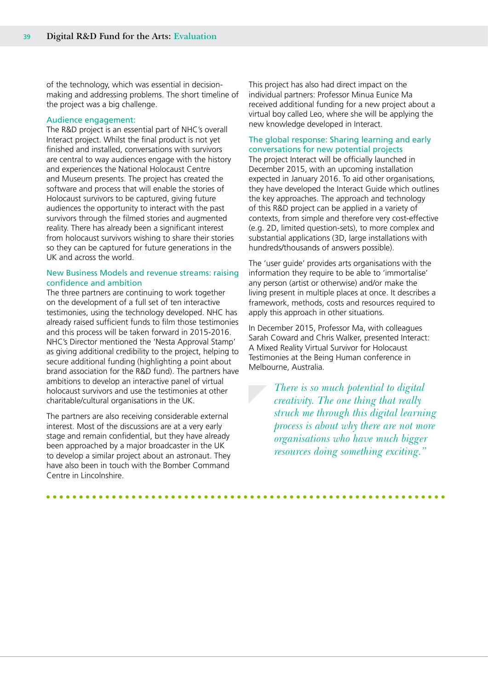of the technology, which was essential in decisionmaking and addressing problems. The short timeline of the project was a big challenge.

### Audience engagement:

The R&D project is an essential part of NHC's overall Interact project. Whilst the final product is not yet finished and installed, conversations with survivors are central to way audiences engage with the history and experiences the National Holocaust Centre and Museum presents. The project has created the software and process that will enable the stories of Holocaust survivors to be captured, giving future audiences the opportunity to interact with the past survivors through the filmed stories and augmented reality. There has already been a significant interest from holocaust survivors wishing to share their stories so they can be captured for future generations in the UK and across the world.

### New Business Models and revenue streams: raising confidence and ambition

The three partners are continuing to work together on the development of a full set of ten interactive testimonies, using the technology developed. NHC has already raised sufficient funds to film those testimonies and this process will be taken forward in 2015-2016. NHC's Director mentioned the 'Nesta Approval Stamp' as giving additional credibility to the project, helping to secure additional funding (highlighting a point about brand association for the R&D fund). The partners have ambitions to develop an interactive panel of virtual holocaust survivors and use the testimonies at other charitable/cultural organisations in the UK.

The partners are also receiving considerable external interest. Most of the discussions are at a very early stage and remain confidential, but they have already been approached by a major broadcaster in the UK to develop a similar project about an astronaut. They have also been in touch with the Bomber Command Centre in Lincolnshire.

This project has also had direct impact on the individual partners: Professor Minua Eunice Ma received additional funding for a new project about a virtual boy called Leo, where she will be applying the new knowledge developed in Interact.

### The global response: Sharing learning and early conversations for new potential projects

The project Interact will be officially launched in December 2015, with an upcoming installation expected in January 2016. To aid other organisations, they have developed the Interact Guide which outlines the key approaches. The approach and technology of this R&D project can be applied in a variety of contexts, from simple and therefore very cost-effective (e.g. 2D, limited question-sets), to more complex and substantial applications (3D, large installations with hundreds/thousands of answers possible).

The 'user guide' provides arts organisations with the information they require to be able to 'immortalise' any person (artist or otherwise) and/or make the living present in multiple places at once. It describes a framework, methods, costs and resources required to apply this approach in other situations.

In December 2015, Professor Ma, with colleagues Sarah Coward and Chris Walker, presented Interact: A Mixed Reality Virtual Survivor for Holocaust Testimonies at the Being Human conference in Melbourne, Australia.

> *There is so much potential to digital creativity. The one thing that really struck me through this digital learning process is about why there are not more organisations who have much bigger resources doing something exciting."*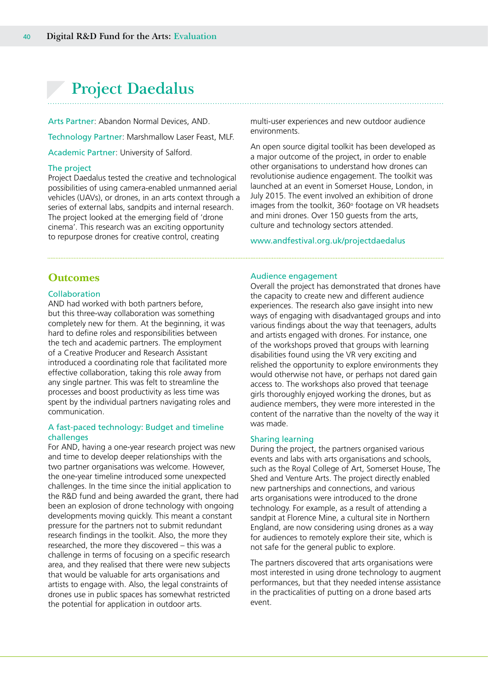### <span id="page-39-0"></span>**Project Daedalus**

Arts Partner: Abandon Normal Devices, AND. Technology Partner: Marshmallow Laser Feast, MLF. Academic Partner: University of Salford.

### The project

Project Daedalus tested the creative and technological possibilities of using camera-enabled unmanned aerial vehicles (UAVs), or drones, in an arts context through a series of external labs, sandpits and internal research. The project looked at the emerging field of 'drone cinema'. This research was an exciting opportunity to repurpose drones for creative control, creating

multi-user experiences and new outdoor audience environments.

An open source digital toolkit has been developed as a major outcome of the project, in order to enable other organisations to understand how drones can revolutionise audience engagement. The toolkit was launched at an event in Somerset House, London, in July 2015. The event involved an exhibition of drone images from the toolkit, 360° footage on VR headsets and mini drones. Over 150 guests from the arts, culture and technology sectors attended.

www.andfestival.org.uk/projectdaedalus

### **Outcomes**

#### Collaboration

AND had worked with both partners before, but this three-way collaboration was something completely new for them. At the beginning, it was hard to define roles and responsibilities between the tech and academic partners. The employment of a Creative Producer and Research Assistant introduced a coordinating role that facilitated more effective collaboration, taking this role away from any single partner. This was felt to streamline the processes and boost productivity as less time was spent by the individual partners navigating roles and communication.

### A fast-paced technology: Budget and timeline challenges

For AND, having a one-year research project was new and time to develop deeper relationships with the two partner organisations was welcome. However, the one-year timeline introduced some unexpected challenges. In the time since the initial application to the R&D fund and being awarded the grant, there had been an explosion of drone technology with ongoing developments moving quickly. This meant a constant pressure for the partners not to submit redundant research findings in the toolkit. Also, the more they researched, the more they discovered – this was a challenge in terms of focusing on a specific research area, and they realised that there were new subjects that would be valuable for arts organisations and artists to engage with. Also, the legal constraints of drones use in public spaces has somewhat restricted the potential for application in outdoor arts.

#### Audience engagement

Overall the project has demonstrated that drones have the capacity to create new and different audience experiences. The research also gave insight into new ways of engaging with disadvantaged groups and into various findings about the way that teenagers, adults and artists engaged with drones. For instance, one of the workshops proved that groups with learning disabilities found using the VR very exciting and relished the opportunity to explore environments they would otherwise not have, or perhaps not dared gain access to. The workshops also proved that teenage girls thoroughly enjoyed working the drones, but as audience members, they were more interested in the content of the narrative than the novelty of the way it was made.

#### Sharing learning

During the project, the partners organised various events and labs with arts organisations and schools, such as the Royal College of Art, Somerset House, The Shed and Venture Arts. The project directly enabled new partnerships and connections, and various arts organisations were introduced to the drone technology. For example, as a result of attending a sandpit at Florence Mine, a cultural site in Northern England, are now considering using drones as a way for audiences to remotely explore their site, which is not safe for the general public to explore.

The partners discovered that arts organisations were most interested in using drone technology to augment performances, but that they needed intense assistance in the practicalities of putting on a drone based arts event.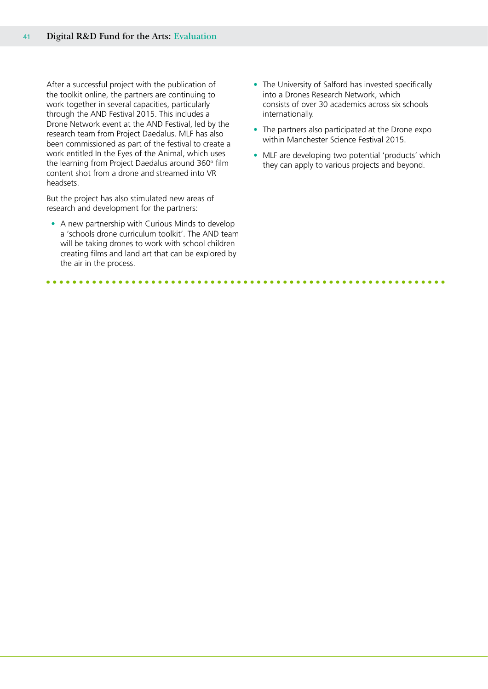After a successful project with the publication of the toolkit online, the partners are continuing to work together in several capacities, particularly through the AND Festival 2015. This includes a Drone Network event at the AND Festival, led by the research team from Project Daedalus. MLF has also been commissioned as part of the festival to create a work entitled In the Eyes of the Animal, which uses the learning from Project Daedalus around  $360^{\circ}$  film content shot from a drone and streamed into VR headsets.

But the project has also stimulated new areas of research and development for the partners:

• A new partnership with Curious Minds to develop a 'schools drone curriculum toolkit'. The AND team will be taking drones to work with school children creating films and land art that can be explored by the air in the process.

- The University of Salford has invested specifically into a Drones Research Network, which consists of over 30 academics across six schools internationally.
- The partners also participated at the Drone expo within Manchester Science Festival 2015.
- MLF are developing two potential 'products' which they can apply to various projects and beyond.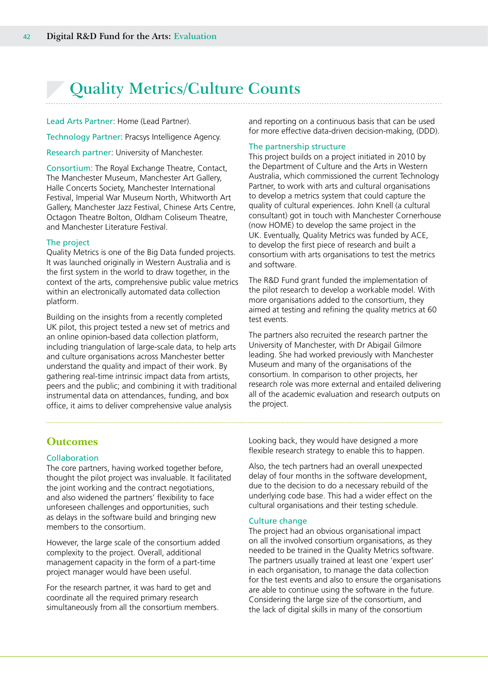# <span id="page-41-0"></span>**Quality Metrics/Culture Counts**

Lead Arts Partner: Home (Lead Partner).

Technology Partner: Pracsys Intelligence Agency.

Research partner: University of Manchester.

Consortium: The Royal Exchange Theatre, Contact, The Manchester Museum, Manchester Art Gallery, Halle Concerts Society, Manchester International Festival, Imperial War Museum North, Whitworth Art Gallery, Manchester Jazz Festival, Chinese Arts Centre, Octagon Theatre Bolton, Oldham Coliseum Theatre, and Manchester Literature Festival.

### The project

Quality Metrics is one of the Big Data funded projects. It was launched originally in Western Australia and is the first system in the world to draw together, in the context of the arts, comprehensive public value metrics within an electronically automated data collection platform.

Building on the insights from a recently completed UK pilot, this project tested a new set of metrics and an online opinion-based data collection platform, including triangulation of large-scale data, to help arts and culture organisations across Manchester better understand the quality and impact of their work. By gathering real-time intrinsic impact data from artists, peers and the public; and combining it with traditional instrumental data on attendances, funding, and box office, it aims to deliver comprehensive value analysis

**Outcomes**

### Collaboration

The core partners, having worked together before, thought the pilot project was invaluable. It facilitated the joint working and the contract negotiations, and also widened the partners' flexibility to face unforeseen challenges and opportunities, such as delays in the software build and bringing new members to the consortium.

However, the large scale of the consortium added complexity to the project. Overall, additional management capacity in the form of a part-time project manager would have been useful.

For the research partner, it was hard to get and coordinate all the required primary research simultaneously from all the consortium members. and reporting on a continuous basis that can be used for more effective data-driven decision-making, (DDD).

### The partnership structure

This project builds on a project initiated in 2010 by the Department of Culture and the Arts in Western Australia, which commissioned the current Technology Partner, to work with arts and cultural organisations to develop a metrics system that could capture the quality of cultural experiences. John Knell (a cultural consultant) got in touch with Manchester Cornerhouse (now HOME) to develop the same project in the UK. Eventually, Quality Metrics was funded by ACE, to develop the first piece of research and built a consortium with arts organisations to test the metrics and software.

The R&D Fund grant funded the implementation of the pilot research to develop a workable model. With more organisations added to the consortium, they aimed at testing and refining the quality metrics at 60 test events.

The partners also recruited the research partner the University of Manchester, with Dr Abigail Gilmore leading. She had worked previously with Manchester Museum and many of the organisations of the consortium. In comparison to other projects, her research role was more external and entailed delivering all of the academic evaluation and research outputs on the project.

Looking back, they would have designed a more flexible research strategy to enable this to happen.

Also, the tech partners had an overall unexpected delay of four months in the software development, due to the decision to do a necessary rebuild of the underlying code base. This had a wider effect on the cultural organisations and their testing schedule.

### Culture change

The project had an obvious organisational impact on all the involved consortium organisations, as they needed to be trained in the Quality Metrics software. The partners usually trained at least one 'expert user' in each organisation, to manage the data collection for the test events and also to ensure the organisations are able to continue using the software in the future. Considering the large size of the consortium, and the lack of digital skills in many of the consortium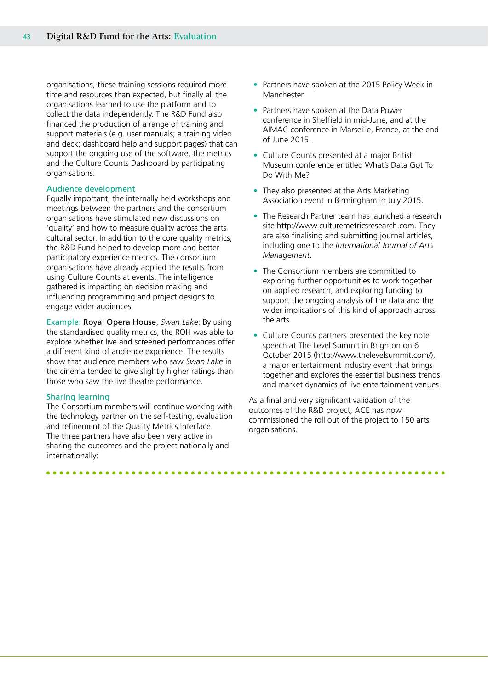organisations, these training sessions required more time and resources than expected, but finally all the organisations learned to use the platform and to collect the data independently. The R&D Fund also financed the production of a range of training and support materials (e.g. user manuals; a training video and deck; dashboard help and support pages) that can support the ongoing use of the software, the metrics and the Culture Counts Dashboard by participating organisations.

#### Audience development

Equally important, the internally held workshops and meetings between the partners and the consortium organisations have stimulated new discussions on 'quality' and how to measure quality across the arts cultural sector. In addition to the core quality metrics, the R&D Fund helped to develop more and better participatory experience metrics. The consortium organisations have already applied the results from using Culture Counts at events. The intelligence gathered is impacting on decision making and influencing programming and project designs to engage wider audiences.

Example: Royal Opera House, *Swan Lake*: By using the standardised quality metrics, the ROH was able to explore whether live and screened performances offer a different kind of audience experience. The results show that audience members who saw *Swan Lake* in the cinema tended to give slightly higher ratings than those who saw the live theatre performance.

### Sharing learning

The Consortium members will continue working with the technology partner on the self-testing, evaluation and refinement of the Quality Metrics Interface. The three partners have also been very active in sharing the outcomes and the project nationally and internationally:

- Partners have spoken at the 2015 Policy Week in Manchester.
- Partners have spoken at the Data Power conference in Sheffield in mid-June, and at the AIMAC conference in Marseille, France, at the end of June 2015.
- Culture Counts presented at a major British Museum conference entitled What's Data Got To Do With Me?
- They also presented at the Arts Marketing Association event in Birmingham in July 2015.
- The Research Partner team has launched a research site http://www.culturemetricsresearch.com. They are also finalising and submitting journal articles, including one to the *International Journal of Arts Management*.
- The Consortium members are committed to exploring further opportunities to work together on applied research, and exploring funding to support the ongoing analysis of the data and the wider implications of this kind of approach across the arts.
- Culture Counts partners presented the key note speech at The Level Summit in Brighton on 6 October 2015 (http://www.thelevelsummit.com/), a major entertainment industry event that brings together and explores the essential business trends and market dynamics of live entertainment venues.

As a final and very significant validation of the outcomes of the R&D project, ACE has now commissioned the roll out of the project to 150 arts organisations.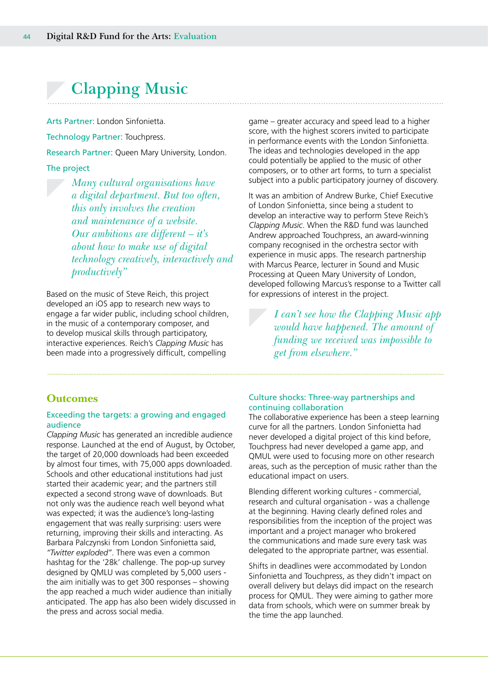### <span id="page-43-0"></span>**Clapping Music**

Arts Partner: London Sinfonietta.

Technology Partner: Touchpress.

Research Partner: Queen Mary University, London.

The project

*Many cultural organisations have a digital department. But too often, this only involves the creation and maintenance of a website. Our ambitions are different – it's about how to make use of digital technology creatively, interactively and productively"*

Based on the music of Steve Reich, this project developed an iOS app to research new ways to engage a far wider public, including school children, in the music of a contemporary composer, and to develop musical skills through participatory, interactive experiences. Reich's *Clapping Music* has been made into a progressively difficult, compelling

game – greater accuracy and speed lead to a higher score, with the highest scorers invited to participate in performance events with the London Sinfonietta. The ideas and technologies developed in the app could potentially be applied to the music of other composers, or to other art forms, to turn a specialist subject into a public participatory journey of discovery.

It was an ambition of Andrew Burke, Chief Executive of London Sinfonietta, since being a student to develop an interactive way to perform Steve Reich's *Clapping Music*. When the R&D fund was launched Andrew approached Touchpress, an award-winning company recognised in the orchestra sector with experience in music apps. The research partnership with Marcus Pearce, lecturer in Sound and Music Processing at Queen Mary University of London, developed following Marcus's response to a Twitter call for expressions of interest in the project.

> *I can't see how the Clapping Music app would have happened. The amount of funding we received was impossible to get from elsewhere."*

### **Outcomes**

### Exceeding the targets: a growing and engaged audience

*Clapping Music* has generated an incredible audience response. Launched at the end of August, by October, the target of 20,000 downloads had been exceeded by almost four times, with 75,000 apps downloaded. Schools and other educational institutions had just started their academic year; and the partners still expected a second strong wave of downloads. But not only was the audience reach well beyond what was expected; it was the audience's long-lasting engagement that was really surprising: users were returning, improving their skills and interacting. As Barbara Palczynski from London Sinfonietta said, *"Twitter exploded"*. There was even a common hashtag for the '28k' challenge. The pop-up survey designed by QMLU was completed by 5,000 users the aim initially was to get 300 responses – showing the app reached a much wider audience than initially anticipated. The app has also been widely discussed in the press and across social media.

### Culture shocks: Three-way partnerships and continuing collaboration

The collaborative experience has been a steep learning curve for all the partners. London Sinfonietta had never developed a digital project of this kind before, Touchpress had never developed a game app, and QMUL were used to focusing more on other research areas, such as the perception of music rather than the educational impact on users.

Blending different working cultures - commercial, research and cultural organisation - was a challenge at the beginning. Having clearly defined roles and responsibilities from the inception of the project was important and a project manager who brokered the communications and made sure every task was delegated to the appropriate partner, was essential.

Shifts in deadlines were accommodated by London Sinfonietta and Touchpress, as they didn't impact on overall delivery but delays did impact on the research process for QMUL. They were aiming to gather more data from schools, which were on summer break by the time the app launched.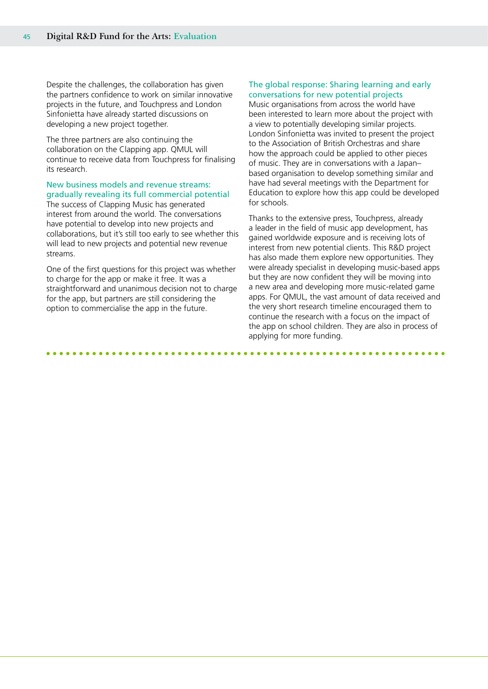Despite the challenges, the collaboration has given the partners confidence to work on similar innovative projects in the future, and Touchpress and London Sinfonietta have already started discussions on developing a new project together.

The three partners are also continuing the collaboration on the Clapping app. QMUL will continue to receive data from Touchpress for finalising its research.

#### New business models and revenue streams: gradually revealing its full commercial potential

The success of Clapping Music has generated interest from around the world. The conversations have potential to develop into new projects and collaborations, but it's still too early to see whether this will lead to new projects and potential new revenue streams.

One of the first questions for this project was whether to charge for the app or make it free. It was a straightforward and unanimous decision not to charge for the app, but partners are still considering the option to commercialise the app in the future.

### The global response: Sharing learning and early conversations for new potential projects

Music organisations from across the world have been interested to learn more about the project with a view to potentially developing similar projects. London Sinfonietta was invited to present the project to the Association of British Orchestras and share how the approach could be applied to other pieces of music. They are in conversations with a Japan– based organisation to develop something similar and have had several meetings with the Department for Education to explore how this app could be developed for schools.

Thanks to the extensive press, Touchpress, already a leader in the field of music app development, has gained worldwide exposure and is receiving lots of interest from new potential clients. This R&D project has also made them explore new opportunities. They were already specialist in developing music-based apps but they are now confident they will be moving into a new area and developing more music-related game apps. For QMUL, the vast amount of data received and the very short research timeline encouraged them to continue the research with a focus on the impact of the app on school children. They are also in process of applying for more funding.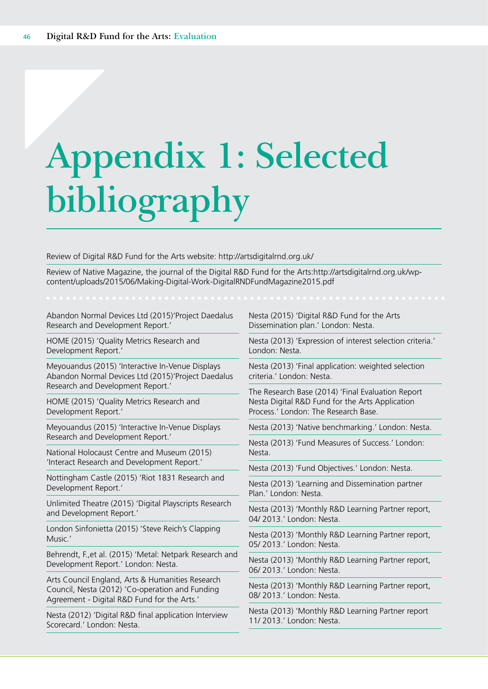# <span id="page-45-0"></span>**Appendix 1: Selected bibliography**

Review of Digital R&D Fund for the Arts website: http://artsdigitalrnd.org.uk/

Review of Native Magazine, the journal of the Digital R&D Fund for the Arts:http://artsdigitalrnd.org.uk/wpcontent/uploads/2015/06/Making-Digital-Work-DigitalRNDFundMagazine2015.pdf

Abandon Normal Devices Ltd (2015)'Project Daedalus Research and Development Report.'

HOME (2015) 'Quality Metrics Research and Development Report.'

Meyouandus (2015) 'Interactive In-Venue Displays Abandon Normal Devices Ltd (2015)'Project Daedalus Research and Development Report.'

HOME (2015) 'Quality Metrics Research and Development Report.'

Meyouandus (2015) 'Interactive In-Venue Displays Research and Development Report.'

National Holocaust Centre and Museum (2015) 'Interact Research and Development Report.'

Nottingham Castle (2015) 'Riot 1831 Research and Development Report.'

Unlimited Theatre (2015) 'Digital Playscripts Research and Development Report.'

London Sinfonietta (2015) 'Steve Reich's Clapping Music.'

Behrendt, F.,et al. (2015) 'Metal: Netpark Research and Development Report.' London: Nesta.

Arts Council England, Arts & Humanities Research Council, Nesta (2012) 'Co-operation and Funding Agreement - Digital R&D Fund for the Arts.'

Nesta (2012) 'Digital R&D final application Interview Scorecard.' London: Nesta.

Nesta (2015) 'Digital R&D Fund for the Arts Dissemination plan.' London: Nesta.

Nesta (2013) 'Expression of interest selection criteria.' London: Nesta.

Nesta (2013) 'Final application: weighted selection criteria.' London: Nesta.

The Research Base (2014) 'Final Evaluation Report Nesta Digital R&D Fund for the Arts Application Process.' London: The Research Base.

Nesta (2013) 'Native benchmarking.' London: Nesta.

Nesta (2013) 'Fund Measures of Success.' London: Nesta.

Nesta (2013) 'Fund Objectives.' London: Nesta.

Nesta (2013) 'Learning and Dissemination partner Plan.' London: Nesta.

Nesta (2013) 'Monthly R&D Learning Partner report, 04/ 2013.' London: Nesta.

Nesta (2013) 'Monthly R&D Learning Partner report, 05/ 2013.' London: Nesta.

Nesta (2013) 'Monthly R&D Learning Partner report, 06/ 2013.' London: Nesta.

Nesta (2013) 'Monthly R&D Learning Partner report, 08/ 2013.' London: Nesta.

Nesta (2013) 'Monthly R&D Learning Partner report 11/ 2013.' London: Nesta.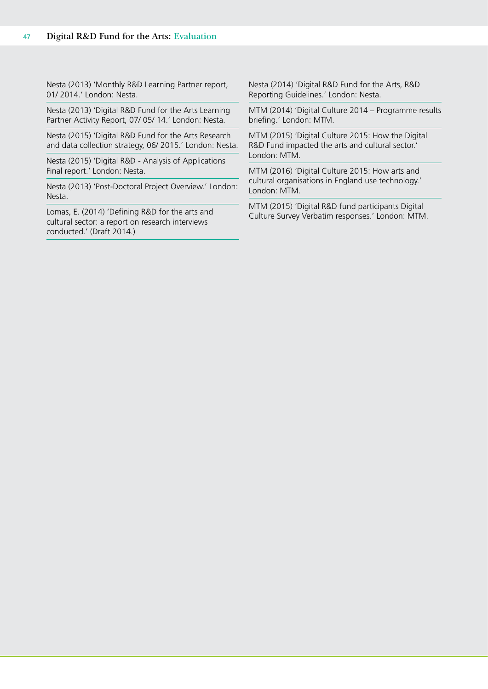Nesta (2013) 'Monthly R&D Learning Partner report, 01/ 2014.' London: Nesta.

Nesta (2013) 'Digital R&D Fund for the Arts Learning Partner Activity Report, 07/ 05/ 14.' London: Nesta.

Nesta (2015) 'Digital R&D Fund for the Arts Research and data collection strategy, 06/ 2015.' London: Nesta.

Nesta (2015) 'Digital R&D - Analysis of Applications Final report.' London: Nesta.

Nesta (2013) 'Post-Doctoral Project Overview.' London: Nesta.

Lomas, E. (2014) 'Defining R&D for the arts and cultural sector: a report on research interviews conducted.' (Draft 2014.)

Nesta (2014) 'Digital R&D Fund for the Arts, R&D Reporting Guidelines.' London: Nesta.

MTM (2014) 'Digital Culture 2014 – Programme results briefing.' London: MTM.

MTM (2015) 'Digital Culture 2015: How the Digital R&D Fund impacted the arts and cultural sector.' London: MTM.

MTM (2016) 'Digital Culture 2015: How arts and cultural organisations in England use technology.' London: MTM.

MTM (2015) 'Digital R&D fund participants Digital Culture Survey Verbatim responses.' London: MTM.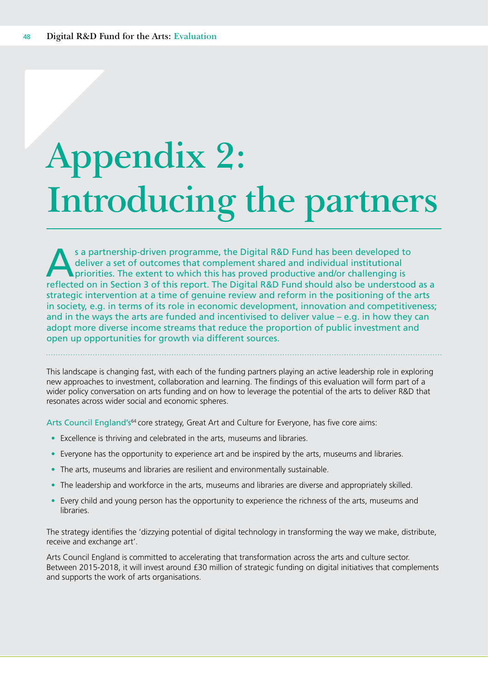# **Appendix 2: Introducing the partners**

s a partnership-driven programme, the Digital R&D Fund has been developed to deliver a set of outcomes that complement shared and individual institutional priorities. The extent to which this has proved productive and/or c deliver a set of outcomes that complement shared and individual institutional reflected on in Section 3 of this report. The Digital R&D Fund should also be understood as a strategic intervention at a time of genuine review and reform in the positioning of the arts in society, e.g. in terms of its role in economic development, innovation and competitiveness; and in the ways the arts are funded and incentivised to deliver value – e.g. in how they can adopt more diverse income streams that reduce the proportion of public investment and open up opportunities for growth via different sources.

This landscape is changing fast, with each of the funding partners playing an active leadership role in exploring new approaches to investment, collaboration and learning. The findings of this evaluation will form part of a wider policy conversation on arts funding and on how to leverage the potential of the arts to deliver R&D that resonates across wider social and economic spheres.

Arts Council England's<sup>64</sup> core strategy, Great Art and Culture for Everyone, has five core aims:

- Excellence is thriving and celebrated in the arts, museums and libraries.
- Everyone has the opportunity to experience art and be inspired by the arts, museums and libraries.
- The arts, museums and libraries are resilient and environmentally sustainable.
- The leadership and workforce in the arts, museums and libraries are diverse and appropriately skilled.
- Every child and young person has the opportunity to experience the richness of the arts, museums and libraries.

The strategy identifies the 'dizzying potential of digital technology in transforming the way we make, distribute, receive and exchange art'.

Arts Council England is committed to accelerating that transformation across the arts and culture sector. Between 2015-2018, it will invest around £30 million of strategic funding on digital initiatives that complements and supports the work of arts organisations.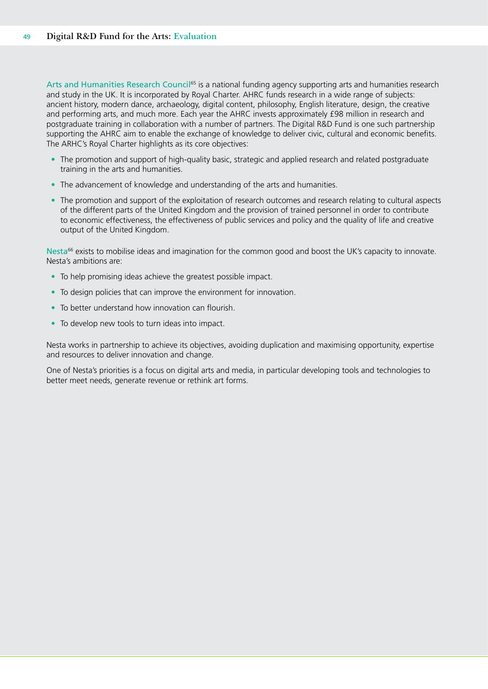Arts and Humanities Research Council<sup>65</sup> is a national funding agency supporting arts and humanities research and study in the UK. It is incorporated by Royal Charter. AHRC funds research in a wide range of subjects: ancient history, modern dance, archaeology, digital content, philosophy, English literature, design, the creative and performing arts, and much more. Each year the AHRC invests approximately £98 million in research and postgraduate training in collaboration with a number of partners. The Digital R&D Fund is one such partnership supporting the AHRC aim to enable the exchange of knowledge to deliver civic, cultural and economic benefits. The ARHC's Royal Charter highlights as its core objectives:

- The promotion and support of high-quality basic, strategic and applied research and related postgraduate training in the arts and humanities.
- The advancement of knowledge and understanding of the arts and humanities.
- The promotion and support of the exploitation of research outcomes and research relating to cultural aspects of the different parts of the United Kingdom and the provision of trained personnel in order to contribute to economic effectiveness, the effectiveness of public services and policy and the quality of life and creative output of the United Kingdom.

Nesta<sup>66</sup> exists to mobilise ideas and imagination for the common good and boost the UK's capacity to innovate. Nesta's ambitions are:

- To help promising ideas achieve the greatest possible impact.
- To design policies that can improve the environment for innovation.
- To better understand how innovation can flourish.
- To develop new tools to turn ideas into impact.

Nesta works in partnership to achieve its objectives, avoiding duplication and maximising opportunity, expertise and resources to deliver innovation and change.

One of Nesta's priorities is a focus on digital arts and media, in particular developing tools and technologies to better meet needs, generate revenue or rethink art forms.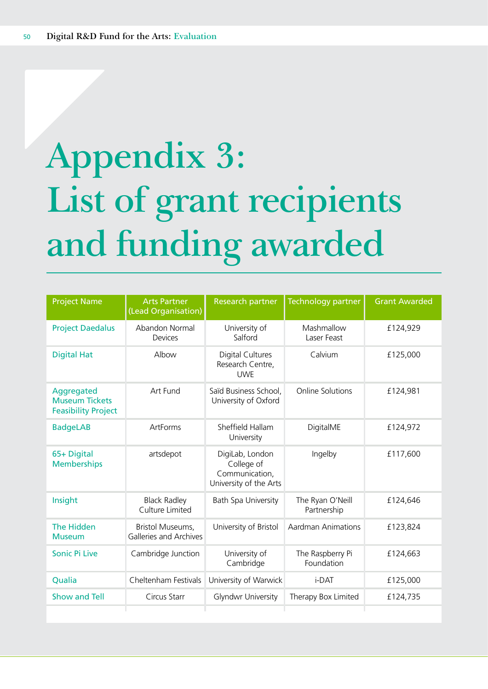# <span id="page-49-0"></span>**Appendix 3: List of grant recipients and funding awarded**

| <b>Project Name</b>                                               | <b>Arts Partner</b><br>(Lead Organisation)        | <b>Research partner</b>                                                   | Technology partner              | <b>Grant Awarded</b> |
|-------------------------------------------------------------------|---------------------------------------------------|---------------------------------------------------------------------------|---------------------------------|----------------------|
| <b>Project Daedalus</b>                                           | Abandon Normal<br>Devices                         | University of<br>Salford                                                  | Mashmallow<br>Laser Feast       | £124,929             |
| <b>Digital Hat</b>                                                | Albow                                             | Digital Cultures<br>Research Centre,<br><b>UWE</b>                        | Calvium                         | £125,000             |
| Aggregated<br><b>Museum Tickets</b><br><b>Feasibility Project</b> | Art Fund                                          | Saïd Business School,<br>University of Oxford                             | <b>Online Solutions</b>         | £124,981             |
| <b>BadgeLAB</b>                                                   | ArtForms                                          | Sheffield Hallam<br>University                                            | DigitalME                       | £124,972             |
| 65+ Digital<br><b>Memberships</b>                                 | artsdepot                                         | DigiLab, London<br>College of<br>Communication,<br>University of the Arts | Ingelby                         | £117,600             |
| Insight                                                           | <b>Black Radley</b><br>Culture Limited            | Bath Spa University                                                       | The Ryan O'Neill<br>Partnership | £124,646             |
| The Hidden<br><b>Museum</b>                                       | Bristol Museums,<br><b>Galleries and Archives</b> | University of Bristol                                                     | <b>Aardman Animations</b>       | £123,824             |
| Sonic Pi Live                                                     | Cambridge Junction                                | University of<br>Cambridge                                                | The Raspberry Pi<br>Foundation  | £124,663             |
| Qualia                                                            | Cheltenham Festivals                              | University of Warwick                                                     | i-DAT                           | £125,000             |
| <b>Show and Tell</b>                                              | Circus Starr                                      | Glyndwr University                                                        | Therapy Box Limited             | £124,735             |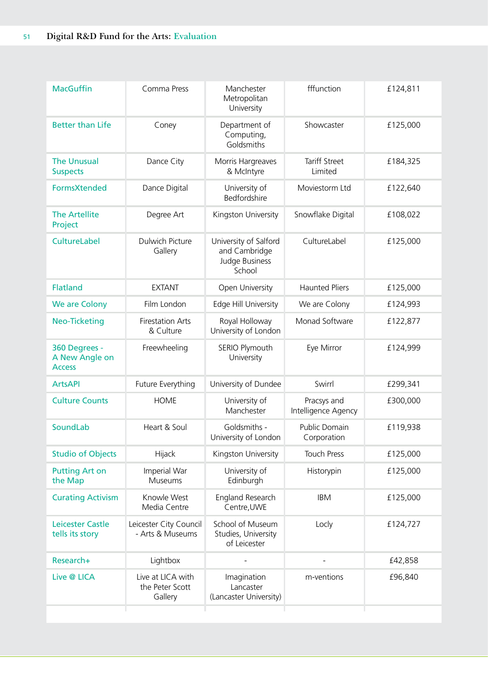| <b>MacGuffin</b>                                 | Comma Press                                     | Manchester<br>Metropolitan<br>University                           | fffunction                         | £124,811 |
|--------------------------------------------------|-------------------------------------------------|--------------------------------------------------------------------|------------------------------------|----------|
| <b>Better than Life</b>                          | Coney                                           | Department of<br>Computing,<br>Goldsmiths                          | Showcaster                         | £125,000 |
| <b>The Unusual</b><br><b>Suspects</b>            | Dance City                                      | Morris Hargreaves<br>& McIntyre                                    | <b>Tariff Street</b><br>Limited    | £184,325 |
| <b>FormsXtended</b>                              | Dance Digital                                   | University of<br>Bedfordshire                                      | Moviestorm Ltd                     | £122,640 |
| <b>The Artellite</b><br>Project                  | Degree Art                                      | Kingston University                                                | Snowflake Digital                  | £108,022 |
| CultureLabel                                     | Dulwich Picture<br>Gallery                      | University of Salford<br>and Cambridge<br>Judge Business<br>School | CultureLabel                       | £125,000 |
| <b>Flatland</b>                                  | <b>EXTANT</b>                                   | Open University                                                    | <b>Haunted Pliers</b>              | £125,000 |
| We are Colony                                    | Film London                                     | Edge Hill University                                               | We are Colony                      | £124,993 |
| <b>Neo-Ticketing</b>                             | <b>Firestation Arts</b><br>& Culture            | Royal Holloway<br>University of London                             | Monad Software                     | £122,877 |
| 360 Degrees -<br>A New Angle on<br><b>Access</b> | Freewheeling                                    | SERIO Plymouth<br>University                                       | Eye Mirror                         | £124,999 |
| <b>ArtsAPI</b>                                   | Future Everything                               | University of Dundee                                               | Swirrl                             | £299,341 |
| <b>Culture Counts</b>                            | <b>HOME</b>                                     | University of<br>Manchester                                        | Pracsys and<br>Intelligence Agency | £300,000 |
| SoundLab                                         | Heart & Soul                                    | Goldsmiths -<br>University of London                               | Public Domain<br>Corporation       | £119,938 |
| <b>Studio of Objects</b>                         | Hijack                                          | Kingston University                                                | <b>Touch Press</b>                 | £125,000 |
| <b>Putting Art on</b><br>the Map                 | Imperial War<br>Museums                         | University of<br>Edinburgh                                         | Historypin                         | £125,000 |
| <b>Curating Activism</b>                         | Knowle West<br>Media Centre                     | England Research<br>Centre, UWE                                    | <b>IBM</b>                         | £125,000 |
| Leicester Castle<br>tells its story              | Leicester City Council<br>- Arts & Museums      | School of Museum<br>Studies, University<br>of Leicester            | Locly                              | £124,727 |
| Research+                                        | Lightbox                                        |                                                                    |                                    | £42,858  |
| Live @ LICA                                      | Live at LICA with<br>the Peter Scott<br>Gallery | Imagination<br>Lancaster<br>(Lancaster University)                 | m-ventions                         | £96,840  |
|                                                  |                                                 |                                                                    |                                    |          |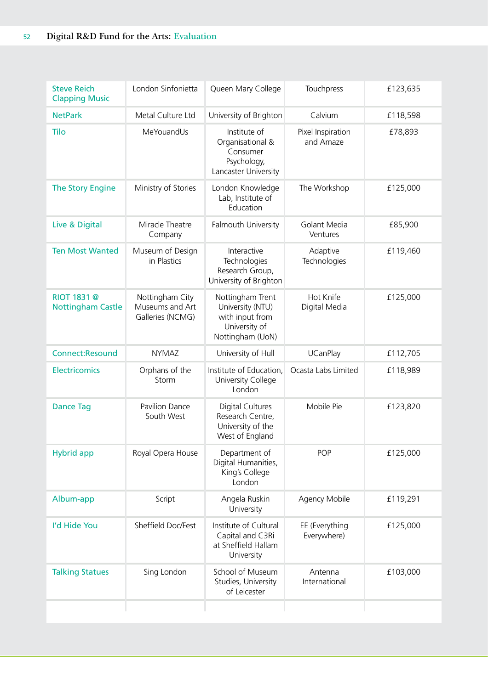| <b>Steve Reich</b><br><b>Clapping Music</b> | London Sinfonietta                                     | Queen Mary College                                                                           | Touchpress                     | £123,635 |
|---------------------------------------------|--------------------------------------------------------|----------------------------------------------------------------------------------------------|--------------------------------|----------|
| <b>NetPark</b>                              | Metal Culture Ltd                                      | University of Brighton                                                                       | Calvium                        | £118,598 |
| Tilo                                        | MeYouandUs                                             | Institute of<br>Organisational &<br>Consumer<br>Psychology,<br>Lancaster University          | Pixel Inspiration<br>and Amaze | £78,893  |
| <b>The Story Engine</b>                     | Ministry of Stories                                    | London Knowledge<br>Lab, Institute of<br>Education                                           | The Workshop                   | £125,000 |
| Live & Digital                              | Miracle Theatre<br>Company                             | Falmouth University                                                                          | Golant Media<br>Ventures       | £85,900  |
| <b>Ten Most Wanted</b>                      | Museum of Design<br>in Plastics                        | Interactive<br>Technologies<br>Research Group,<br>University of Brighton                     | Adaptive<br>Technologies       | £119,460 |
| RIOT 1831 @<br><b>Nottingham Castle</b>     | Nottingham City<br>Museums and Art<br>Galleries (NCMG) | Nottingham Trent<br>University (NTU)<br>with input from<br>University of<br>Nottingham (UoN) | Hot Knife<br>Digital Media     | £125,000 |
| <b>Connect:Resound</b>                      | <b>NYMAZ</b>                                           | University of Hull                                                                           | <b>UCanPlay</b>                | £112,705 |
| <b>Electricomics</b>                        | Orphans of the<br>Storm                                | Institute of Education,<br>University College<br>London                                      | Ocasta Labs Limited            | £118,989 |
| <b>Dance Tag</b>                            | Pavilion Dance<br>South West                           | <b>Digital Cultures</b><br>Research Centre,<br>University of the<br>West of England          | Mobile Pie                     | £123,820 |
| <b>Hybrid app</b>                           | Royal Opera House                                      | Department of<br>Digital Humanities,<br>King's College<br>London                             | <b>POP</b>                     | £125,000 |
| Album-app                                   | Script                                                 | Angela Ruskin<br>University                                                                  | Agency Mobile                  | £119,291 |
| I'd Hide You                                | Sheffield Doc/Fest                                     | Institute of Cultural<br>Capital and C3Ri<br>at Sheffield Hallam<br>University               | EE (Everything<br>Everywhere)  | £125,000 |
| <b>Talking Statues</b>                      | Sing London                                            | School of Museum<br>Studies, University<br>of Leicester                                      | Antenna<br>International       | £103,000 |
|                                             |                                                        |                                                                                              |                                |          |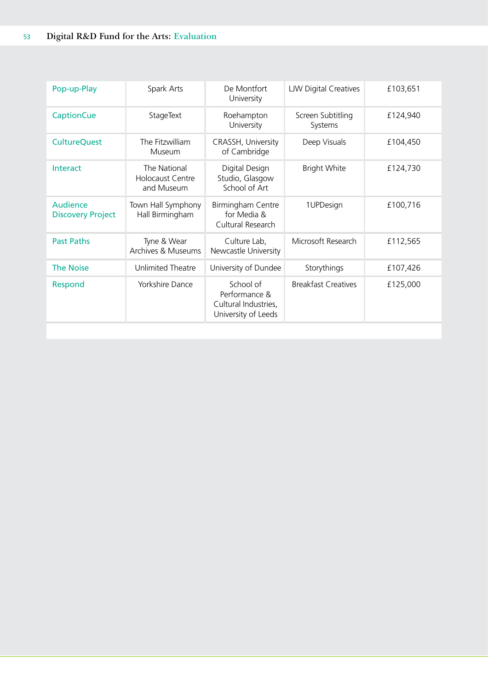| Pop-up-Play                          | Spark Arts                                            | De Montfort<br>University                                                 | <b>LJW Digital Creatives</b> | £103,651 |
|--------------------------------------|-------------------------------------------------------|---------------------------------------------------------------------------|------------------------------|----------|
| <b>CaptionCue</b>                    | StageText                                             | Roehampton<br>University                                                  | Screen Subtitling<br>Systems | £124,940 |
| <b>CultureQuest</b>                  | The Fitzwilliam<br>Museum                             | CRASSH, University<br>of Cambridge                                        | Deep Visuals                 | £104,450 |
| Interact                             | The National<br><b>Holocaust Centre</b><br>and Museum | Digital Design<br>Studio, Glasgow<br>School of Art                        | <b>Bright White</b>          | £124,730 |
| Audience<br><b>Discovery Project</b> | Town Hall Symphony<br>Hall Birmingham                 | Birmingham Centre<br>for Media &<br>Cultural Research                     | 1UPDesign                    | £100,716 |
| <b>Past Paths</b>                    | Tyne & Wear<br>Archives & Museums                     | Culture Lab,<br>Newcastle University                                      | Microsoft Research           | £112,565 |
| <b>The Noise</b>                     | Unlimited Theatre                                     | University of Dundee                                                      | Storythings                  | £107,426 |
| Respond                              | Yorkshire Dance                                       | School of<br>Performance &<br>Cultural Industries,<br>University of Leeds | <b>Breakfast Creatives</b>   | £125,000 |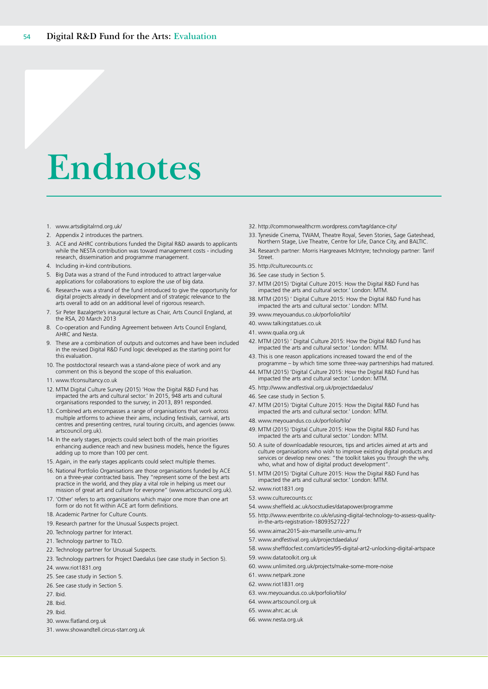# <span id="page-53-0"></span>**Endnotes**

- 1. [www.artsdigitalrnd.org.uk/](http://www.artsdigitalrnd.org.uk/)
- 2. Appendix 2 introduces the partners.
- 3. ACE and AHRC contributions funded the Digital R&D awards to applicants while the NESTA contribution was toward management costs - including research, dissemination and programme management.
- 4. Including in-kind contributions.
- 5. Big Data was a strand of the Fund introduced to attract larger-value applications for collaborations to explore the use of big data.
- 6. Research+ was a strand of the fund introduced to give the opportunity for digital projects already in development and of strategic relevance to the arts overall to add on an additional level of rigorous research.
- 7. Sir Peter Bazalgette's inaugural lecture as Chair, Arts Council England, at the RSA, 20 March 2013
- 8. Co-operation and Funding Agreement between Arts Council England, AHRC and Nesta.
- 9. These are a combination of outputs and outcomes and have been included in the revised Digital R&D Fund logic developed as the starting point for this evaluation.
- 10. The postdoctoral research was a stand-alone piece of work and any comment on this is beyond the scope of this evaluation.
- 11. www.tfconsultancy.co.uk
- 12. MTM Digital Culture Survey (2015) 'How the Digital R&D Fund has impacted the arts and cultural sector.' In 2015, 948 arts and cultural organisations responded to the survey; in 2013, 891 responded.
- 13. Combined arts encompasses a range of organisations that work across multiple artforms to achieve their aims, including festivals, carnival, arts centres and presenting centres, rural touring circuits, and agencies (www. artscouncil.org.uk).
- 14. In the early stages, projects could select both of the main priorities enhancing audience reach and new business models, hence the figures adding up to more than 100 per cent.
- 15. Again, in the early stages applicants could select multiple themes.
- 16. National Portfolio Organisations are those organisations funded by ACE on a three-year contracted basis. They "represent some of the best arts practice in the world, and they play a vital role in helping us meet our mission of great art and culture for everyone" ([www.artscouncil.org.uk\)](http://www.artscouncil.org.uk).
- 17. 'Other' refers to arts organisations which major one more than one art form or do not fit within ACE art form definitions.
- 18. Academic Partner for Culture Counts.
- 19. Research partner for the Unusual Suspects project.
- 20. Technology partner for Interact.
- 21. Technology partner to TILO
- 22. Technology partner for Unusual Suspects.
- 23. Technology partners for Project Daedalus (see case study in Section 5). 24. www.riot1831.org
- 
- 25. See case study in Section 5.
- 26. See case study in Section 5.
- 27. Ibid.
- 28. Ibid. 29. Ibid.
- 30. [www.flatland.org.uk](http://www.flatland.org.uk)
- 
- 31. [www.showandtell.circus-starr.org.uk](http://www.showandtell.circus-starr.org.uk)
- 32. <http://commonwealthcrm.wordpress.com/tag/dance-city/>
- 33. Tyneside Cinema, TWAM, Theatre Royal, Seven Stories, Sage Gateshead, Northern Stage, Live Theatre, Centre for Life, Dance City, and BALTIC.
- 34. Research partner: Morris Hargreaves McIntyre; technology partner: Tarrif **Street**
- 35. <http://culturecounts.cc>
- 36. See case study in Section 5.
- 37. MTM (2015) 'Digital Culture 2015: How the Digital R&D Fund has impacted the arts and cultural sector.' London: MTM.
- 38. MTM (2015) ' Digital Culture 2015: How the Digital R&D Fund has impacted the arts and cultural sector.' London: MTM.
- 39. www.meyouandus.co.uk/porfolio/tilo/
- 40. www.talkingstatues.co.uk
- 41. www.qualia.org.uk
- 42. MTM (2015) ' Digital Culture 2015: How the Digital R&D Fund has impacted the arts and cultural sector.' London: MTM.
- 43. This is one reason applications increased toward the end of the programme – by which time some three-way partnerships had matured.
- 44. MTM (2015) 'Digital Culture 2015: How the Digital R&D Fund has impacted the arts and cultural sector.' London: MTM.
- 45. <http://www.andfestival.org.uk/projectdaedalus/>
- 46. See case study in Section 5.
- 47. MTM (2015) 'Digital Culture 2015: How the Digital R&D Fund has impacted the arts and cultural sector.' London: MTM.
- 48. [www.meyouandus.co.uk/porfolio/tilo/](http://www.meyouandus.co.uk/porfolio/tilo/)
- 49. MTM (2015) 'Digital Culture 2015: How the Digital R&D Fund has impacted the arts and cultural sector.' London: MTM.
- 50. A suite of downloadable resources, tips and articles aimed at arts and culture organisations who wish to improve existing digital products and services or develop new ones: "the toolkit takes you through the why, who, what and how of digital product development'
- 51. MTM (2015) 'Digital Culture 2015: How the Digital R&D Fund has impacted the arts and cultural sector.' London: MTM.
- 52. [www.riot1831.org](http://www.riot1831.org)
- 53. [www.culturecounts.cc](http://www.culturecounts.cc)
- 54. [www.sheffield.ac.uk/socstudies/datapower/programme](http://www.sheffield.ac.uk/socstudies/datapower/programme)
- 55. [http://www.eventbrite.co.uk/e/using-digital-technology-to-assess-quality](http://www.eventbrite.co.uk/e/using-digital-technology-to-assess-quality-in-the-arts-registration-18093527227)[in-the-arts-registration-18093527227](http://www.eventbrite.co.uk/e/using-digital-technology-to-assess-quality-in-the-arts-registration-18093527227)
- 56. [www.aimac2015-aix-marseille.univ-amu.fr](http://www.aimac2015-aix-marseille.univ-amu.fr)
- 57. [www.andfestival.org.uk/projectdaedalus/](http://www.andfestival.org.uk/projectdaedalus/)
- 58. [www.sheffdocfest.com/articles/95-digital-art2-unlocking-digital-artspace](http://www.sheffdocfest.com/articles/95-digital-art2-unlocking-digital-artspace)
- 59. [www.datatoolkit.org.uk](http://www.datatoolkit.org.uk)
- 60. [www.unlimited.org.uk/projects/make-some-more-noise](http://www.unlimited.org.uk/projects/make-some-more-noise)
- 61. [www.netpark.zone](http://www.netpark.zone)
- 62. [www.riot1831.org](http://www.riot1831.org)
- 63. [ww.meyouandus.co.uk/porfolio/tilo/](http://ww.meyouandus.co.uk/porfolio/tilo/)
- 64. [www.artscouncil.org.uk](http://www.artscouncil.org.uk)
- 65. [www.ahrc.ac.uk](http://www.ahrc.ac.uk)
- 66. [www.nesta.org.uk](http://www.nesta.org.uk)